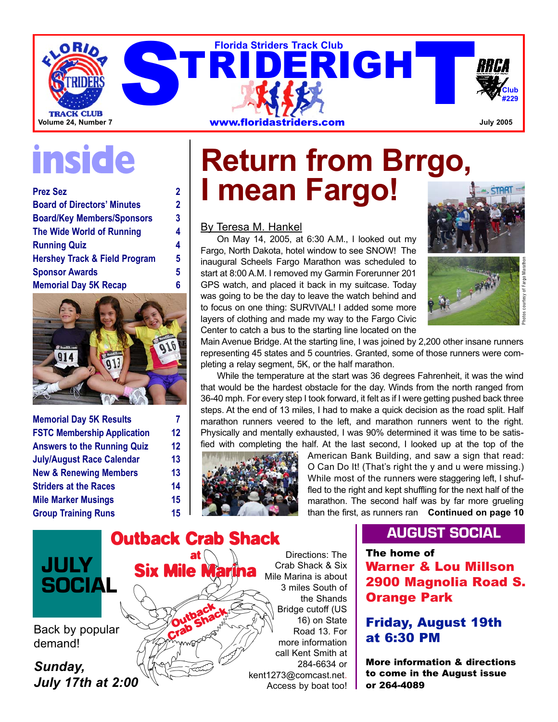

| <b>Prez Sez</b>                          | 2 |
|------------------------------------------|---|
| <b>Board of Directors' Minutes</b>       | 2 |
| <b>Board/Key Members/Sponsors</b>        | 3 |
| <b>The Wide World of Running</b>         | 4 |
| <b>Running Quiz</b>                      | 4 |
| <b>Hershey Track &amp; Field Program</b> | 5 |
| <b>Sponsor Awards</b>                    | 5 |
| <b>Memorial Day 5K Recap</b>             | 6 |



| <b>Memorial Day 5K Results</b>     |    |
|------------------------------------|----|
| <b>FSTC Membership Application</b> | 12 |
| <b>Answers to the Running Quiz</b> | 12 |
| <b>July/August Race Calendar</b>   | 13 |
| <b>New &amp; Renewing Members</b>  | 13 |
| <b>Striders at the Races</b>       | 14 |
| <b>Mile Marker Musings</b>         | 15 |
| <b>Group Training Runs</b>         | 15 |

## **inside Return from Brrgo, I mean Fargo!**

By Teresa M. Hankel

On May 14, 2005, at 6:30 A.M., I looked out my Fargo, North Dakota, hotel window to see SNOW! The inaugural Scheels Fargo Marathon was scheduled to start at 8:00 A.M. I removed my Garmin Forerunner 201 GPS watch, and placed it back in my suitcase. Today was going to be the day to leave the watch behind and to focus on one thing: SURVIVAL! I added some more layers of clothing and made my way to the Fargo Civic Center to catch a bus to the starting line located on the



Main Avenue Bridge. At the starting line, I was joined by 2,200 other insane runners representing 45 states and 5 countries. Granted, some of those runners were completing a relay segment, 5K, or the half marathon.

While the temperature at the start was 36 degrees Fahrenheit, it was the wind that would be the hardest obstacle for the day. Winds from the north ranged from 36-40 mph. For every step I took forward, it felt as if I were getting pushed back three steps. At the end of 13 miles, I had to make a quick decision as the road split. Half marathon runners veered to the left, and marathon runners went to the right. Physically and mentally exhausted, I was 90% determined it was time to be satisfied with completing the half. At the last second, I looked up at the top of the



**Outback** Crab Shack

**at**

**Six Mile** 

American Bank Building, and saw a sign that read: O Can Do It! (That's right the y and u were missing.) While most of the runners were staggering left, I shuffled to the right and kept shuffling for the next half of the marathon. The second half was by far more grueling than the first, as runners ran **Continued on page 10**

**Outback Crab Shack JULY SOCIAL**

Back by popular demand!

*Sunday, July 17th at 2:00*

Directions: The Crab Shack & Six Mile Marina is about 3 miles South of the Shands Bridge cutoff (US 16) on State Road 13. For more information call Kent Smith at 284-6634 or kent1273@comcast.net. Access by boat too!

### **AUGUST SOCIAL**

**The home of Warner & Lou Millson 2900 Magnolia Road S. Orange Park**

### **Friday, August 19th at 6:30 PM**

**More information & directions to come in the August issue or 264-4089**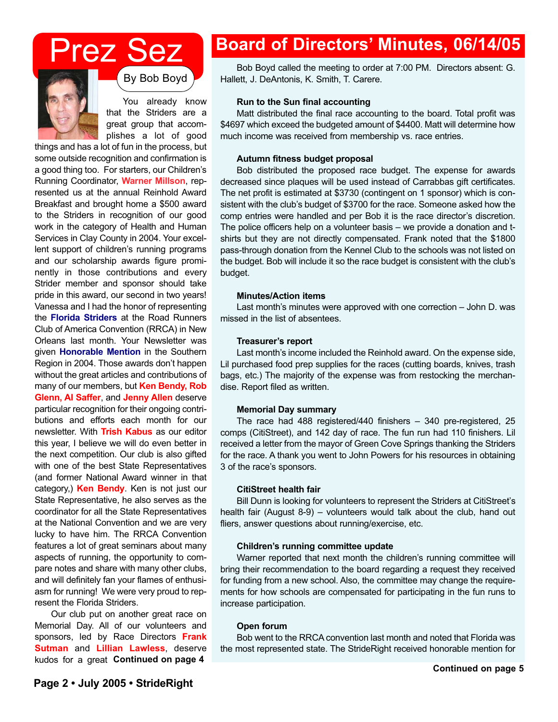## Prez Sez



By Bob Boyd

You already know that the Striders are a great group that accomplishes a lot of good

things and has a lot of fun in the process, but some outside recognition and confirmation is a good thing too. For starters, our Children's Running Coordinator, **Warner Millson**, represented us at the annual Reinhold Award Breakfast and brought home a \$500 award to the Striders in recognition of our good work in the category of Health and Human Services in Clay County in 2004. Your excellent support of children's running programs and our scholarship awards figure prominently in those contributions and every Strider member and sponsor should take pride in this award, our second in two years! Vanessa and I had the honor of representing the **Florida Striders** at the Road Runners Club of America Convention (RRCA) in New Orleans last month. Your Newsletter was given **Honorable Mention** in the Southern Region in 2004. Those awards don't happen without the great articles and contributions of many of our members, but **Ken Bendy, Rob Glenn, Al Saffer**, and **Jenny Allen** deserve particular recognition for their ongoing contributions and efforts each month for our newsletter. With **Trish Kabus** as our editor this year, I believe we will do even better in the next competition. Our club is also gifted with one of the best State Representatives (and former National Award winner in that category,) **Ken Bendy**. Ken is not just our State Representative, he also serves as the coordinator for all the State Representatives at the National Convention and we are very lucky to have him. The RRCA Convention features a lot of great seminars about many aspects of running, the opportunity to compare notes and share with many other clubs, and will definitely fan your flames of enthusiasm for running! We were very proud to represent the Florida Striders.

Our club put on another great race on Memorial Day. All of our volunteers and sponsors, led by Race Directors **Frank Sutman** and **Lillian Lawless**, deserve kudos for a great **Continued on page 4**

### **Board of Directors' Minutes, 06/14/05**

Bob Boyd called the meeting to order at 7:00 PM. Directors absent: G. Hallett, J. DeAntonis, K. Smith, T. Carere.

### **Run to the Sun final accounting**

Matt distributed the final race accounting to the board. Total profit was \$4697 which exceed the budgeted amount of \$4400. Matt will determine how much income was received from membership vs. race entries.

### **Autumn fitness budget proposal**

Bob distributed the proposed race budget. The expense for awards decreased since plaques will be used instead of Carrabbas gift certificates. The net profit is estimated at \$3730 (contingent on 1 sponsor) which is consistent with the club's budget of \$3700 for the race. Someone asked how the comp entries were handled and per Bob it is the race director's discretion. The police officers help on a volunteer basis – we provide a donation and tshirts but they are not directly compensated. Frank noted that the \$1800 pass-through donation from the Kennel Club to the schools was not listed on the budget. Bob will include it so the race budget is consistent with the club's budget.

### **Minutes/Action items**

Last month's minutes were approved with one correction – John D. was missed in the list of absentees.

### **Treasurer's report**

Last month's income included the Reinhold award. On the expense side, Lil purchased food prep supplies for the races (cutting boards, knives, trash bags, etc.) The majority of the expense was from restocking the merchandise. Report filed as written.

### **Memorial Day summary**

The race had 488 registered/440 finishers – 340 pre-registered, 25 comps (CitiStreet), and 142 day of race. The fun run had 110 finishers. Lil received a letter from the mayor of Green Cove Springs thanking the Striders for the race. A thank you went to John Powers for his resources in obtaining 3 of the race's sponsors.

### **CitiStreet health fair**

Bill Dunn is looking for volunteers to represent the Striders at CitiStreet's health fair (August 8-9) – volunteers would talk about the club, hand out fliers, answer questions about running/exercise, etc.

### **Children's running committee update**

Warner reported that next month the children's running committee will bring their recommendation to the board regarding a request they received for funding from a new school. Also, the committee may change the requirements for how schools are compensated for participating in the fun runs to increase participation.

### **Open forum**

Bob went to the RRCA convention last month and noted that Florida was the most represented state. The StrideRight received honorable mention for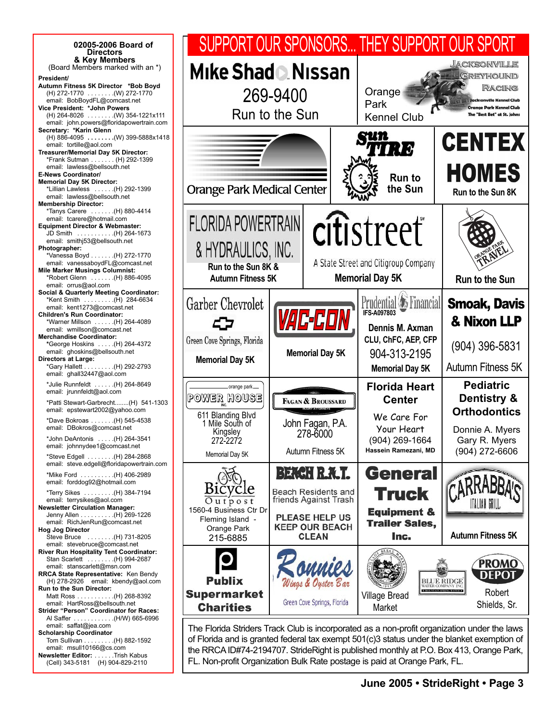| 02005-2006 Board of<br><b>Directors</b>                                                                                                                                                                                                                                                                                                                                                                            |                                                                                                                 |          |                                                                                                                                              |                                                                                                                                                | SUPPORT OUR SPONSORS THEY SUPPORT OUR SPORT                                                                                                                                                                                                                                         |
|--------------------------------------------------------------------------------------------------------------------------------------------------------------------------------------------------------------------------------------------------------------------------------------------------------------------------------------------------------------------------------------------------------------------|-----------------------------------------------------------------------------------------------------------------|----------|----------------------------------------------------------------------------------------------------------------------------------------------|------------------------------------------------------------------------------------------------------------------------------------------------|-------------------------------------------------------------------------------------------------------------------------------------------------------------------------------------------------------------------------------------------------------------------------------------|
| & Key Members<br>(Board Members marked with an *)<br>President/<br>Autumn Fitness 5K Director *Bob Boyd<br>(H) 272-1770 (W) 272-1770<br>email: BobBoydFL@comcast.net<br>Vice President: *John Powers<br>$(H)$ 264-8026 (W) 354-1221x111<br>email: john.powers@floridapowertrain.com                                                                                                                                | Mike Shad & Nissan<br>Run to the Sun                                                                            | 269-9400 |                                                                                                                                              | Orange<br>Park<br><b>Kennel Club</b>                                                                                                           | JACKSONVILLE<br>Greyhound<br><b>RACING</b><br><b>Jacksonville Kennel Club</b><br><b>Orange Park Kennel Club</b><br>The "Best Bet" at St. Johns                                                                                                                                      |
| Secretary: *Karin Glenn<br>(H) 886-4095 (W) 399-5888x1418<br>email: tortille@aol.com<br>Treasurer/Memorial Day 5K Director:<br>*Frank Sutman  (H) 292-1399<br>email: lawless@bellsouth.net<br><b>E-News Coordinator/</b><br><b>Memorial Day 5K Director:</b><br>*Lillian Lawless  (H) 292-1399<br>email: lawless@bellsouth.net<br><b>Membership Director:</b>                                                      | <b>Orange Park Medical Center</b>                                                                               |          |                                                                                                                                              | Qun<br>y I (Y )<br><b>Run to</b><br>the Sun                                                                                                    | <b>CENTEX</b><br><b>HOMES</b><br>Run to the Sun 8K                                                                                                                                                                                                                                  |
| H) 880-4414 (H) 880-4414<br>email: tcarere@hotmail.com<br><b>Equipment Director &amp; Webmaster:</b><br>JD Smith (H) 264-1673<br>email: smithi53@bellsouth.net<br>Photographer:<br>*Vanessa Boyd (H) 272-1770<br>email: vanessaboydFL@comcast.net<br><b>Mile Marker Musings Columnist:</b><br>H) 886-4095 (H) 886-4095<br>email: orrus@aol.com                                                                     | <b>FLORIDA POWERTRAIN</b><br>& HYDRAULICS, INC.<br>Run to the Sun 8K &<br><b>Autumn Fitness 5K</b>              |          |                                                                                                                                              | citistreet<br>A State Street and Citigroup Company<br><b>Memorial Day 5K</b>                                                                   | <b>ZAVI</b><br>Run to the Sun                                                                                                                                                                                                                                                       |
| <b>Social &amp; Quarterly Meeting Coordinator:</b><br>*Kent Smith  (H) 284-6634<br>email: kent1273@comcast.net<br><b>Children's Run Coordinator:</b><br>*Warner Millson  (H) 264-4089<br>email: wmillson@comcast.net<br><b>Merchandise Coordinator:</b><br>*George Hoskins  (H) 264-4372<br>email: ghoskins@bellsouth.net<br><b>Directors at Large:</b><br>*Gary Hallett (H) 292-2793<br>email: ghall32447@aol.com | Garber Chevrolet<br>Green Cove Springs, Florida<br><b>Memorial Day 5K</b>                                       |          | <b>AC-CON</b><br><b>Memorial Day 5K</b>                                                                                                      | Prudential <b><i>D</i></b> Financial<br><b>IFS-A097803</b><br>Dennis M. Axman<br>CLU, ChFC, AEP, CFP<br>904-313-2195<br><b>Memorial Day 5K</b> | <b>Smoak, Davis</b><br>& Nixon LLP<br>(904) 396-5831<br>Autumn Fitness 5K                                                                                                                                                                                                           |
| *Julie Runnfeldt  (H) 264-8649<br>email: jrunnfeldt@aol.com<br>*Patti Stewart-Garbrecht(H) 541-1303<br>email: epstewart2002@yahoo.com<br>*Dave Bokroas (H) 545-4538<br>email: DBokros@comcast.net<br>*John DeAntonis  (H) 264-3541<br>email: johnnydee1@comcast.net<br>*Steve Edgell (H) 284-2868                                                                                                                  | -orange park-<br>Power house<br>611 Blanding Blvd<br>1 Mile South of<br>Kingsley<br>272-2272<br>Memorial Day 5K |          | FAGAN & BROUSSARD<br>John Fagan, P.A.<br>278-6000<br>Autumn Fitness 5K                                                                       | <b>Florida Heart</b><br><b>Center</b><br>We Care For<br>Your Heart<br>(904) 269-1664<br>Hassein Ramezani, MD                                   | <b>Pediatric</b><br>Dentistry &<br><b>Orthodontics</b><br>Donnie A. Myers<br>Gary R. Myers<br>(904) 272-6606                                                                                                                                                                        |
| email: steve.edgell@floridapowertrain.com<br>*Mike Ford (H) 406-2989<br>email: forddog92@hotmail.com<br>*Terry Sikes (H) 384-7194<br>email: terrysikes@aol.com<br><b>Newsletter Circulation Manager:</b><br>Jenny Allen (H) 269-1226<br>email: RichJenRun@comcast.net<br><b>Hog Jog Director</b><br>Steve Bruce  (H) 731-8205<br>email: stevebruce@comcast.net                                                     | cie<br>Outpost<br>1560-4 Business Ctr Dr<br>Fleming Island -<br>Orange Park<br>215-6885                         |          | <b>BEACH R.A.T.</b><br><b>Beach Residents and</b><br>friends Against Trash<br><b>PLEASE HELP US</b><br><b>KEEP OUR BEACH</b><br><b>CLEAN</b> | <b>General</b><br><b>Truck</b><br><b>Equipment &amp;</b><br><b>Trailer Sales,</b><br>Inc.                                                      | <b>Autumn Fitness 5K</b>                                                                                                                                                                                                                                                            |
| River Run Hospitality Tent Coordinator:<br>Stan Scarlett  (H) 994-2687<br>email: stanscarlett@msn.com<br><b>RRCA State Representative: Ken Bendy</b><br>(H) 278-2926 email: kbendy@aol.com<br>Run to the Sun Director:<br>Matt Ross (H) 268-8392<br>email: HartRoss@bellsouth.net<br>Strider "Person" Coordinator for Races:<br>Al Saffer (H/W) 665-6996                                                           | <b>Publix</b><br><b>Supermarket</b><br><b>Charities</b>                                                         |          | Wings & Oyster Bar<br>Green Cove Springs, Florida                                                                                            | <b>Village Bread</b><br>Market                                                                                                                 | <b>PROMO</b><br><b>DEPOT</b><br><b>BLUE RIDGE</b><br>WATER COMPANY INC<br><b>5 MOUNTAIN SPRING WATER F</b><br>Robert<br>Shields, Sr.                                                                                                                                                |
| email: saffat@jea.com<br><b>Scholarship Coordinator</b><br>Tom Sullivan (H) 882-1592<br>email: msull10166@cs.com<br>Newsletter Editor: Trish Kabus                                                                                                                                                                                                                                                                 |                                                                                                                 |          |                                                                                                                                              |                                                                                                                                                | The Florida Striders Track Club is incorporated as a non-profit organization under the laws<br>of Florida and is granted federal tax exempt 501(c)3 status under the blanket exemption of<br>the RRCA ID#74-2194707. StrideRight is published monthly at P.O. Box 413, Orange Park, |

(Cell) 343-5181 (H) 904-829-2110

FL. Non-profit Organization Bulk Rate postage is paid at Orange Park, FL.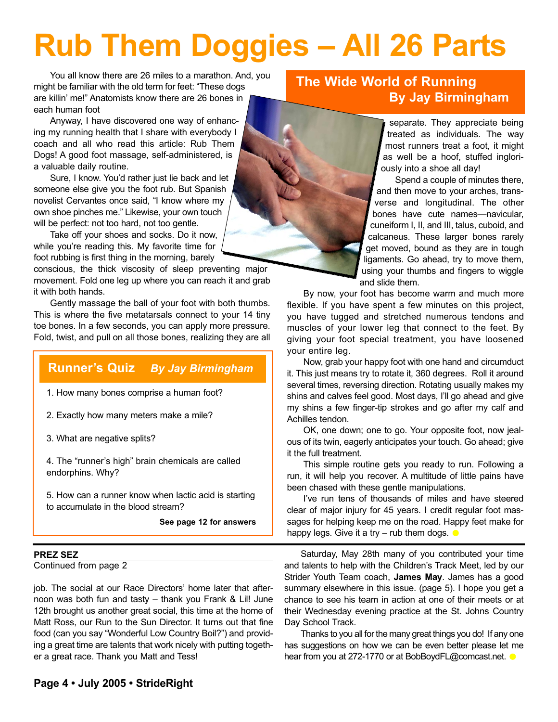# **Rub Them Doggies – All 26 Parts**

You all know there are 26 miles to a marathon. And, you might be familiar with the old term for feet: "These dogs are killin' me!" Anatomists know there are 26 bones in each human foot

Anyway, I have discovered one way of enhancing my running health that I share with everybody I coach and all who read this article: Rub Them Dogs! A good foot massage, self-administered, is a valuable daily routine.

Sure, I know. You'd rather just lie back and let someone else give you the foot rub. But Spanish novelist Cervantes once said, "I know where my own shoe pinches me." Likewise, your own touch will be perfect: not too hard, not too gentle.

Take off your shoes and socks. Do it now, while you're reading this. My favorite time for foot rubbing is first thing in the morning, barely

conscious, the thick viscosity of sleep preventing major movement. Fold one leg up where you can reach it and grab it with both hands.

Gently massage the ball of your foot with both thumbs. This is where the five metatarsals connect to your 14 tiny toe bones. In a few seconds, you can apply more pressure. Fold, twist, and pull on all those bones, realizing they are all

### **Runner's Quiz** *By Jay Birmingham*

1. How many bones comprise a human foot?

2. Exactly how many meters make a mile?

3. What are negative splits?

4. The "runner's high" brain chemicals are called endorphins. Why?

5. How can a runner know when lactic acid is starting to accumulate in the blood stream?

**See page 12 for answers**

### **PREZ SEZ**

Continued from page 2

job. The social at our Race Directors' home later that afternoon was both fun and tasty – thank you Frank & Lil! June 12th brought us another great social, this time at the home of Matt Ross, our Run to the Sun Director. It turns out that fine food (can you say "Wonderful Low Country Boil?") and providing a great time are talents that work nicely with putting together a great race. Thank you Matt and Tess!

### **The Wide World of Running By Jay Birmingham**

separate. They appreciate being treated as individuals. The way most runners treat a foot, it might as well be a hoof, stuffed ingloriously into a shoe all day!

Spend a couple of minutes there, and then move to your arches, transverse and longitudinal. The other bones have cute names—navicular, cuneiform I, II, and III, talus, cuboid, and calcaneus. These larger bones rarely get moved, bound as they are in tough ligaments. Go ahead, try to move them, using your thumbs and fingers to wiggle and slide them.

By now, your foot has become warm and much more flexible. If you have spent a few minutes on this project, you have tugged and stretched numerous tendons and muscles of your lower leg that connect to the feet. By giving your foot special treatment, you have loosened your entire leg.

Now, grab your happy foot with one hand and circumduct it. This just means try to rotate it, 360 degrees. Roll it around several times, reversing direction. Rotating usually makes my shins and calves feel good. Most days, I'll go ahead and give my shins a few finger-tip strokes and go after my calf and Achilles tendon.

OK, one down; one to go. Your opposite foot, now jealous of its twin, eagerly anticipates your touch. Go ahead; give it the full treatment.

This simple routine gets you ready to run. Following a run, it will help you recover. A multitude of little pains have been chased with these gentle manipulations.

I've run tens of thousands of miles and have steered clear of major injury for 45 years. I credit regular foot massages for helping keep me on the road. Happy feet make for happy legs. Give it a try – rub them dogs.

Saturday, May 28th many of you contributed your time and talents to help with the Children's Track Meet, led by our Strider Youth Team coach, **James May**. James has a good summary elsewhere in this issue. (page 5). I hope you get a chance to see his team in action at one of their meets or at their Wednesday evening practice at the St. Johns Country Day School Track.

Thanks to you all for the many great things you do! If any one has suggestions on how we can be even better please let me hear from you at 272-1770 or at BobBoydFL@comcast.net.  $\bullet$ 

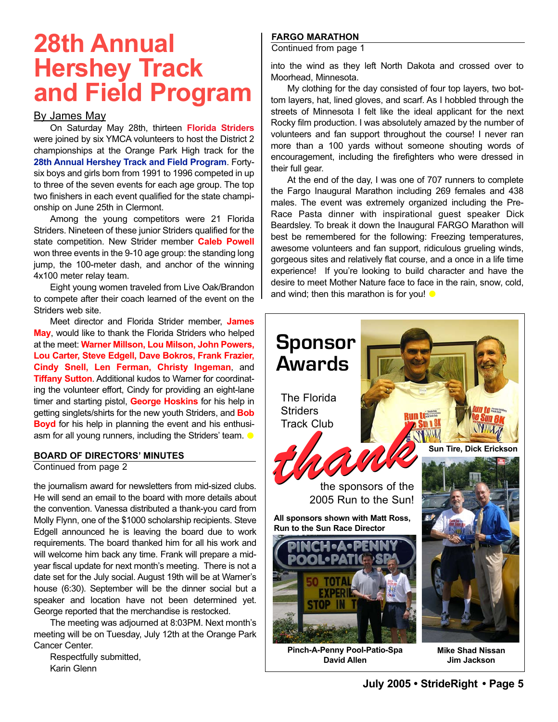## **28th Annual Hershey Track and Field Program**

### By James May

On Saturday May 28th, thirteen **Florida Striders** were joined by six YMCA volunteers to host the District 2 championships at the Orange Park High track for the **28th Annual Hershey Track and Field Program**. Fortysix boys and girls born from 1991 to 1996 competed in up to three of the seven events for each age group. The top two finishers in each event qualified for the state championship on June 25th in Clermont.

Among the young competitors were 21 Florida Striders. Nineteen of these junior Striders qualified for the state competition. New Strider member **Caleb Powell** won three events in the 9-10 age group: the standing long jump, the 100-meter dash, and anchor of the winning 4x100 meter relay team.

Eight young women traveled from Live Oak/Brandon to compete after their coach learned of the event on the Striders web site.

Meet director and Florida Strider member, **James May**, would like to thank the Florida Striders who helped at the meet: **Warner Millson, Lou Milson, John Powers, Lou Carter, Steve Edgell, Dave Bokros, Frank Frazier, Cindy Snell, Len Ferman, Christy Ingeman**, and **Tiffany Sutton**. Additional kudos to Warner for coordinating the volunteer effort, Cindy for providing an eight-lane timer and starting pistol, **George Hoskins** for his help in getting singlets/shirts for the new youth Striders, and **Bob Boyd** for his help in planning the event and his enthusiasm for all young runners, including the Striders' team.  $\bullet$ 

### **BOARD OF DIRECTORS' MINUTES**

Continued from page 2

the journalism award for newsletters from mid-sized clubs. He will send an email to the board with more details about the convention. Vanessa distributed a thank-you card from Molly Flynn, one of the \$1000 scholarship recipients. Steve Edgell announced he is leaving the board due to work requirements. The board thanked him for all his work and will welcome him back any time. Frank will prepare a midyear fiscal update for next month's meeting. There is not a date set for the July social. August 19th will be at Warner's house (6:30). September will be the dinner social but a speaker and location have not been determined yet. George reported that the merchandise is restocked.

The meeting was adjourned at 8:03PM. Next month's meeting will be on Tuesday, July 12th at the Orange Park Cancer Center.

Respectfully submitted, Karin Glenn

### **FARGO MARATHON**

Continued from page 1

into the wind as they left North Dakota and crossed over to Moorhead, Minnesota.

My clothing for the day consisted of four top layers, two bottom layers, hat, lined gloves, and scarf. As I hobbled through the streets of Minnesota I felt like the ideal applicant for the next Rocky film production. I was absolutely amazed by the number of volunteers and fan support throughout the course! I never ran more than a 100 yards without someone shouting words of encouragement, including the firefighters who were dressed in their full gear.

At the end of the day, I was one of 707 runners to complete the Fargo Inaugural Marathon including 269 females and 438 males. The event was extremely organized including the Pre-Race Pasta dinner with inspirational guest speaker Dick Beardsley. To break it down the Inaugural FARGO Marathon will best be remembered for the following: Freezing temperatures, awesome volunteers and fan support, ridiculous grueling winds, gorgeous sites and relatively flat course, and a once in a life time experience! If you're looking to build character and have the desire to meet Mother Nature face to face in the rain, snow, cold, and wind; then this marathon is for you!  $\bullet$ 



**Pinch-A-Penny Pool-Patio-Spa David Allen**

**Mike Shad Nissan Jim Jackson**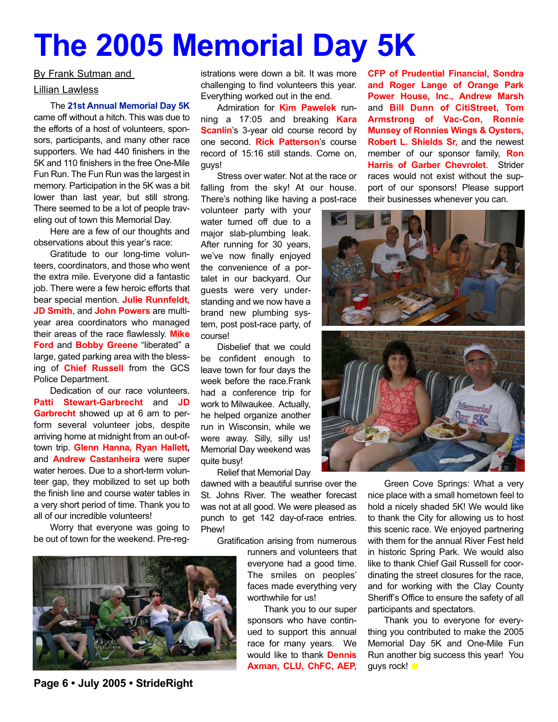## **The 2005 Memorial Day 5K**

### By Frank Sutman and

### Lillian Lawless

#### The **21st Annual Memorial Day 5K**

came off without a hitch. This was due to the efforts of a host of volunteers, sponsors, participants, and many other race supporters. We had 440 finishers in the 5K and 110 finishers in the free One-Mile Fun Run. The Fun Run was the largest in memory. Participation in the 5K was a bit lower than last year, but still strong. There seemed to be a lot of people traveling out of town this Memorial Day.

Here are a few of our thoughts and observations about this year's race:

Gratitude to our long-time volunteers, coordinators, and those who went the extra mile. Everyone did a fantastic job. There were a few heroic efforts that bear special mention. **Julie Runnfeldt, JD Smith**, and **John Powers** are multiyear area coordinators who managed their areas of the race flawlessly. **Mike Ford** and **Bobby Greene** "liberated" a large, gated parking area with the blessing of **Chief Russell** from the GCS Police Department.

Dedication of our race volunteers. **Patti Stewart-Garbrecht** and **JD Garbrecht** showed up at 6 am to perform several volunteer jobs, despite arriving home at midnight from an out-oftown trip. **Glenn Hanna, Ryan Hallett,** and **Andrew Castanheira** were super water heroes. Due to a short-term volunteer gap, they mobilized to set up both the finish line and course water tables in a very short period of time. Thank you to all of our incredible volunteers!

Worry that everyone was going to be out of town for the weekend. Pre-reg-



**Page 6 • July 2005 • StrideRight**

istrations were down a bit. It was more challenging to find volunteers this year. Everything worked out in the end.

Admiration for **Kim Pawelek** running a 17:05 and breaking **Kara Scanlin**'s 3-year old course record by one second. **Rick Patterson**'s course record of 15:16 still stands. Come on, guys!

Stress over water. Not at the race or falling from the sky! At our house. There's nothing like having a post-race

volunteer party with your water turned off due to a major slab-plumbing leak. After running for 30 years, we've now finally enjoyed the convenience of a portalet in our backyard. Our guests were very understanding and we now have a brand new plumbing system, post post-race party, of course!

Disbelief that we could be confident enough to leave town for four days the week before the race.Frank had a conference trip for work to Milwaukee. Actually, he helped organize another run in Wisconsin, while we were away. Silly, silly us! Memorial Day weekend was quite busy!

Relief that Memorial Day

dawned with a beautiful sunrise over the St. Johns River. The weather forecast was not at all good. We were pleased as punch to get 142 day-of-race entries. Phew!

Gratification arising from numerous

runners and volunteers that everyone had a good time. The smiles on peoples' faces made everything very worthwhile for us!

Thank you to our super sponsors who have continued to support this annual race for many years. We would like to thank **Dennis Axman, CLU, ChFC, AEP,**

**CFP of Prudential Financial, Sondra and Roger Lange of Orange Park Power House, Inc., Andrew Marsh** and **Bill Dunn of CitiStreet, Tom Armstrong of Vac-Con, Ronnie Munsey of Ronnies Wings & Oysters, Robert L. Shields Sr,** and the newest member of our sponsor family, **Ron Harris of Garber Chevrolet**. Strider races would not exist without the support of our sponsors! Please support their businesses whenever you can.



Green Cove Springs: What a very nice place with a small hometown feel to hold a nicely shaded 5K! We would like to thank the City for allowing us to host this scenic race. We enjoyed partnering with them for the annual River Fest held in historic Spring Park. We would also like to thank Chief Gail Russell for coordinating the street closures for the race, and for working with the Clay County Sheriff's Office to ensure the safety of all participants and spectators.

Thank you to everyone for everything you contributed to make the 2005 Memorial Day 5K and One-Mile Fun Run another big success this year! You guys rock!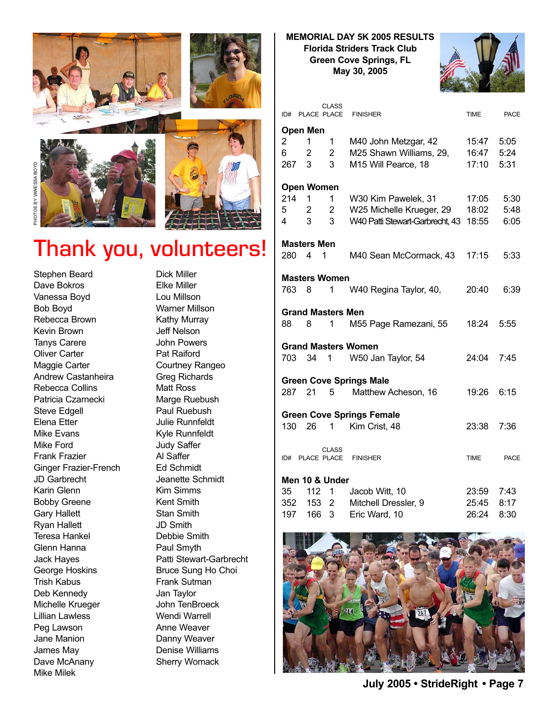

### Thank you, volunteers!

Stephen Beard Dave Bokros Vanessa Boyd Bob Boyd Rebecca Brown Kevin Brown Tanys Carere Oliver Carter Maggie Carter Andrew Castanheira Rebecca Collins Patricia Czarnecki Steve Edgell Elena Etter Mike Evans Mike Ford Frank Frazier Ginger Frazier-French JD Garbrecht Karin Glenn Bobby Greene Gary Hallett Ryan Hallett Teresa Hankel Glenn Hanna Jack Hayes George Hoskins Trish Kabus Deb Kennedy Michelle Krueger Lillian Lawless Peg Lawson Jane Manion James May Dave McAnany Mike Milek

Dick Miller Elke Miller Lou Millson Warner Millson Kathy Murray Jeff Nelson John Powers Pat Raiford Courtney Rangeo Greg Richards Matt Ross Marge Ruebush Paul Ruebush Julie Runnfeldt Kyle Runnfeldt Judy Saffer Al Saffer Ed Schmidt Jeanette Schmidt Kim Simms Kent Smith Stan Smith JD Smith Debbie Smith Paul Smyth Patti Stewart-Garbrecht Bruce Sung Ho Choi Frank Sutman Jan Taylor John TenBroeck Wendi Warrell Anne Weaver Danny Weaver Denise Williams Sherry Womack

### **MEMORIAL DAY 5K 2005 RESULTS Florida Striders Track Club Green Cove Springs, FL May 30, 2005**



|     | ID# PLACE PLACE          | <b>CLASS</b>   | <b>FINISHER</b>                  | <b>TIME</b> | PACE |
|-----|--------------------------|----------------|----------------------------------|-------------|------|
|     | Open Men                 |                |                                  |             |      |
| 2   | 1                        | 1              | M40 John Metzgar, 42             | 15:47       | 5:05 |
| 6   | 2                        | 2              | M25 Shawn Williams, 29,          | 16:47       | 5:24 |
| 267 | 3                        | 3              | M15 Will Pearce, 18              | 17:10       | 5:31 |
|     | Open Women               |                |                                  |             |      |
| 214 | 1                        | 1              | W30 Kim Pawelek, 31              | 17:05       | 5:30 |
| 5   | 2                        | $2^{\circ}$    | W25 Michelle Krueger, 29         | 18:02       | 5:48 |
| 4   | 3                        | 3 <sup>7</sup> | W40 Patti Stewart-Garbrecht, 43  | 18:55       | 6:05 |
|     | <b>Masters Men</b>       |                |                                  |             |      |
| 280 | $\overline{4}$<br>1      |                | M40 Sean McCormack, 43           | 17:15       | 5:33 |
|     | <b>Masters Women</b>     |                |                                  |             |      |
| 763 | 8                        | 1              | W40 Regina Taylor, 40,           | 20:40       | 6:39 |
|     | <b>Grand Masters Men</b> |                |                                  |             |      |
| 88  | 8                        | 1              | M55 Page Ramezani, 55            | 18:24       | 5:55 |
|     |                          |                | <b>Grand Masters Women</b>       |             |      |
| 703 | 34                       | 1              | W50 Jan Taylor, 54               | 24:04       | 7:45 |
|     |                          |                | <b>Green Cove Springs Male</b>   |             |      |
| 287 | 21                       | 5 <sup>5</sup> | Matthew Acheson, 16              | 19:26       | 6:15 |
|     |                          |                | <b>Green Cove Springs Female</b> |             |      |
| 130 | 26                       | 1              | Kim Crist, 48                    | 23:38       | 7:36 |
|     |                          | <b>CLASS</b>   |                                  |             |      |
|     | ID# PLACE PLACE          |                | <b>FINISHER</b>                  | <b>TIME</b> | PACE |
|     | Men 10 & Under           |                |                                  |             |      |
| 35  | 112                      | 1              | Jacob Witt, 10                   | 23:59       | 7:43 |
| 352 | 153                      | $\overline{2}$ | Mitchell Dressler, 9             | 25:45       | 8:17 |
| 197 | 166                      | 3              | Eric Ward, 10                    | 26:24       | 8:30 |



**July 2005 • StrideRight • Page 7**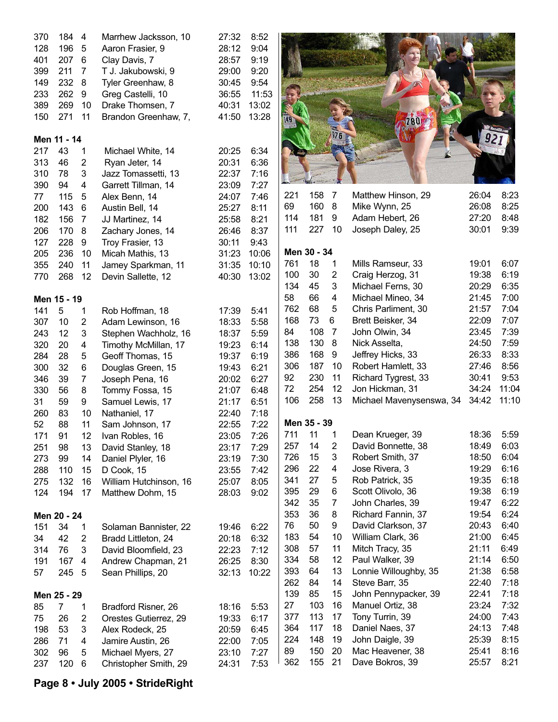| 370 | 184         | $\overline{4}$          | Marrhew Jacksson, 10   | 27:32 | 8:52         |     |             |                |                          |       |       |
|-----|-------------|-------------------------|------------------------|-------|--------------|-----|-------------|----------------|--------------------------|-------|-------|
| 128 | 196         | 5                       | Aaron Frasier, 9       | 28:12 | 9:04         |     |             |                |                          |       |       |
| 401 | 207         | $6\phantom{1}6$         | Clay Davis, 7          | 28:57 | 9:19         |     |             |                |                          |       |       |
| 399 | 211         | $\overline{7}$          | T J. Jakubowski, 9     | 29:00 | 9:20         |     |             |                |                          |       |       |
| 149 | 232         | 8                       | Tyler Greenhaw, 8      | 30:45 | 9:54         |     |             |                |                          |       |       |
| 233 | 262         | 9                       | Greg Castelli, 10      | 36:55 | 11:53        |     |             |                |                          |       |       |
| 389 | 269         | 10                      | Drake Thomsen, 7       | 40:31 | 13:02        |     |             |                |                          |       |       |
| 150 | 271         | 11                      | Brandon Greenhaw, 7,   | 41:50 | 13:28        |     |             |                |                          |       |       |
|     |             |                         |                        |       |              |     |             |                |                          |       |       |
|     | Men 11 - 14 |                         |                        |       |              |     |             |                |                          |       |       |
| 217 | 43          | 1                       | Michael White, 14      | 20:25 | 6:34         |     |             |                |                          |       |       |
| 313 | 46          | $\overline{2}$          | Ryan Jeter, 14         | 20:31 | 6:36         |     |             |                |                          |       |       |
| 310 | 78          | 3                       | Jazz Tomassetti, 13    | 22:37 | 7:16         |     |             |                |                          |       |       |
| 390 | 94          | 4                       | Garrett Tillman, 14    | 23:09 | 7:27         |     |             |                |                          |       |       |
| 77  | 115         | 5                       | Alex Benn, 14          | 24:07 | 7:46         | 221 | 158         | $\overline{7}$ | Matthew Hinson, 29       | 26:04 | 8:23  |
| 200 | 143         | $6\phantom{1}6$         | Austin Bell, 14        | 25:27 | 8:11         | 69  | 160         | 8              | Mike Wynn, 25            | 26:08 | 8:25  |
| 182 | 156         | $\overline{7}$          | JJ Martinez, 14        | 25:58 | 8:21         | 114 | 181         | 9              | Adam Hebert, 26          | 27:20 | 8:48  |
| 206 | 170         | 8                       | Zachary Jones, 14      | 26:46 | 8:37         | 111 | 227         | 10             | Joseph Daley, 25         | 30:01 | 9:39  |
| 127 | 228         | 9                       | Troy Frasier, 13       | 30:11 | 9:43         |     |             |                |                          |       |       |
| 205 | 236         | 10                      | Micah Mathis, 13       | 31:23 | 10:06        |     | Men 30 - 34 |                |                          |       |       |
| 355 | 240         | 11                      | Jamey Sparkman, 11     | 31:35 | 10:10        | 761 | 18          | 1              | Mills Ramseur, 33        | 19:01 | 6:07  |
| 770 | 268         | 12                      | Devin Sallette, 12     | 40:30 | 13:02        | 100 | 30          | 2              | Craig Herzog, 31         | 19:38 | 6:19  |
|     |             |                         |                        |       |              | 134 | 45          | 3              | Michael Ferns, 30        | 20:29 | 6:35  |
|     | Men 15 - 19 |                         |                        |       |              | 58  | 66          | 4              | Michael Mineo, 34        | 21:45 | 7:00  |
| 141 | 5           | 1                       | Rob Hoffman, 18        | 17:39 | 5:41         | 762 | 68          | 5              | Chris Parliment, 30      | 21:57 | 7:04  |
| 307 | 10          | $\overline{2}$          | Adam Lewinson, 16      | 18:33 | 5:58         | 168 | 73          | 6              | Brett Beisker, 34        | 22:09 | 7:07  |
| 243 | 12          | $\mathbf{3}$            | Stephen Wachholz, 16   | 18:37 | 5:59         | 84  | 108         | $\overline{7}$ | John Olwin, 34           | 23:45 | 7:39  |
| 320 | 20          | 4                       | Timothy McMillan, 17   | 19:23 | 6:14         | 138 | 130         | 8              | Nick Asselta,            | 24:50 | 7:59  |
| 284 | 28          | 5                       | Geoff Thomas, 15       | 19:37 | 6:19         | 386 | 168         | 9              | Jeffrey Hicks, 33        | 26:33 | 8:33  |
| 300 | 32          | 6                       | Douglas Green, 15      | 19:43 | 6:21         | 306 | 187         | 10             | Robert Hamlett, 33       | 27:46 | 8:56  |
| 346 | 39          | 7                       | Joseph Pena, 16        | 20:02 | 6:27         | 92  | 230         | 11             | Richard Tygrest, 33      | 30:41 | 9:53  |
| 330 | 56          | 8                       | Tommy Fossa, 15        | 21:07 | 6:48         | 72  | 254         | 12             | Jon Hickman, 31          | 34:24 | 11:04 |
| 31  | 59          | 9                       | Samuel Lewis, 17       | 21:17 | 6:51         | 106 | 258         | 13             | Michael Mavenysenswa, 34 | 34:42 | 11:10 |
| 260 | 83          | 10                      | Nathaniel, 17          | 22:40 | 7:18         |     |             |                |                          |       |       |
| 52  | 88          | 11                      | Sam Johnson, 17        | 22:55 | 7:22         |     | Men 35 - 39 |                |                          |       |       |
| 171 | 91          | 12                      | Ivan Robles, 16        | 23:05 | 7:26         | 711 | 11          | 1              | Dean Krueger, 39         | 18:36 | 5:59  |
| 251 | 98          | 13                      | David Stanley, 18      | 23:17 | 7:29         | 257 | 14          | $\overline{2}$ | David Bonnette, 38       | 18:49 | 6:03  |
| 273 | 99          | 14                      | Daniel Plyler, 16      | 23:19 | 7:30         | 726 | 15          | 3              | Robert Smith, 37         | 18:50 | 6:04  |
| 288 | 110         | 15                      | D Cook, 15             | 23:55 | 7:42         | 296 | 22          | 4              | Jose Rivera, 3           | 19:29 | 6:16  |
| 275 | 132         | 16                      | William Hutchinson, 16 | 25:07 | 8:05         | 341 | 27          | 5              | Rob Patrick, 35          | 19:35 | 6:18  |
| 124 | 194         | 17                      | Matthew Dohm, 15       | 28:03 | 9:02         | 395 | 29          | 6              | Scott Olivolo, 36        | 19:38 | 6:19  |
|     |             |                         |                        |       |              | 342 | 35          | $\overline{7}$ | John Charles, 39         | 19:47 | 6:22  |
|     | Men 20 - 24 |                         |                        |       |              | 353 | 36          | 8              | Richard Fannin, 37       | 19:54 | 6:24  |
| 151 | 34          | 1                       | Solaman Bannister, 22  | 19:46 | 6:22         | 76  | 50          | 9              | David Clarkson, 37       | 20:43 | 6:40  |
| 34  | 42          | 2                       | Bradd Littleton, 24    | 20:18 | 6:32         | 183 | 54          | 10             | William Clark, 36        | 21:00 | 6:45  |
| 314 | 76          | 3                       | David Bloomfield, 23   | 22:23 | 7:12         | 308 | 57          | 11             | Mitch Tracy, 35          | 21:11 | 6:49  |
| 191 | 167         | $\overline{\mathbf{4}}$ | Andrew Chapman, 21     | 26:25 | 8:30         | 334 | 58          | 12             | Paul Walker, 39          | 21:14 | 6:50  |
| 57  | 245         | 5                       | Sean Phillips, 20      | 32:13 | 10:22        | 393 | 64          | 13             | Lonnie Willoughby, 35    | 21:38 | 6:58  |
|     |             |                         |                        |       |              | 262 | 84          | 14             | Steve Barr, 35           | 22:40 | 7:18  |
|     | Men 25 - 29 |                         |                        |       |              | 139 | 85          | 15             | John Pennypacker, 39     | 22:41 | 7:18  |
| 85  | 7           |                         | Bradford Risner, 26    | 18:16 | 5:53         | 27  | 103         | 16             | Manuel Ortiz, 38         | 23:24 | 7:32  |
| 75  | 26          | 1<br>2                  | Orestes Gutierrez, 29  | 19:33 | 6:17         | 377 | 113         | 17             | Tony Turrin, 39          | 24:00 | 7:43  |
| 198 | 53          | 3                       |                        | 20:59 | 6:45         | 364 | 117         | 18             | Daniel Naes, 37          | 24:13 | 7:48  |
|     |             |                         | Alex Rodeck, 25        |       |              | 224 | 148         | 19             | John Daigle, 39          | 25:39 | 8:15  |
| 286 | 71<br>96    | 4<br>$\mathbf 5$        | Jamire Austin, 26      | 22:00 | 7:05<br>7:27 | 89  | 150         | 20             | Mac Heavener, 38         | 25:41 | 8:16  |
| 302 |             |                         | Michael Myers, 27      | 23:10 |              | 362 | 155         | 21             | Dave Bokros, 39          | 25:57 | 8:21  |
| 237 | 120         | 6                       | Christopher Smith, 29  | 24:31 | 7:53         |     |             |                |                          |       |       |

### **Page 8 • July 2005 • StrideRight**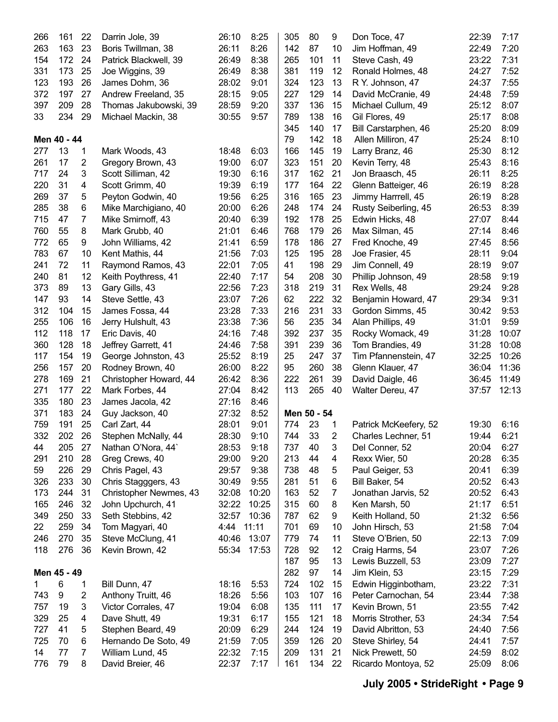| 266 | 161         | 22 | Darrin Jole, 39        | 26:10 | 8:25  | 305 | 80          | 9              | Don Toce, 47          | 22:39 | 7:17  |
|-----|-------------|----|------------------------|-------|-------|-----|-------------|----------------|-----------------------|-------|-------|
| 263 | 163         | 23 | Boris Twillman, 38     | 26:11 | 8:26  | 142 | 87          | 10             | Jim Hoffman, 49       | 22:49 | 7:20  |
| 154 | 172         | 24 | Patrick Blackwell, 39  | 26:49 | 8:38  | 265 | 101         | 11             | Steve Cash, 49        | 23:22 | 7:31  |
| 331 | 173         | 25 | Joe Wiggins, 39        | 26:49 | 8:38  | 381 | 119         | 12             | Ronald Holmes, 48     | 24:27 | 7:52  |
| 123 | 193         | 26 | James Dohm, 36         | 28:02 | 9:01  | 324 | 123         | 13             | R Y. Johnson, 47      | 24:37 | 7:55  |
| 372 | 197         | 27 | Andrew Freeland, 35    | 28:15 | 9:05  | 227 | 129         | 14             | David McCranie, 49    | 24:48 | 7:59  |
| 397 | 209         | 28 | Thomas Jakubowski, 39  | 28:59 | 9:20  | 337 | 136         | 15             | Michael Cullum, 49    | 25:12 | 8:07  |
| 33  | 234         | 29 | Michael Mackin, 38     | 30:55 | 9:57  | 789 | 138         | 16             | Gil Flores, 49        | 25:17 | 8:08  |
|     |             |    |                        |       |       | 345 | 140         | 17             | Bill Carstarphen, 46  | 25:20 | 8:09  |
|     | Men 40 - 44 |    |                        |       |       | 79  | 142         | 18             | Allen Milliron, 47    | 25:24 | 8:10  |
| 277 | 13          | 1  | Mark Woods, 43         | 18:48 | 6:03  | 166 | 145         | 19             | Larry Branz, 46       | 25:30 | 8:12  |
| 261 | 17          | 2  | Gregory Brown, 43      | 19:00 | 6:07  | 323 | 151         | 20             | Kevin Terry, 48       | 25:43 | 8:16  |
| 717 | 24          | 3  | Scott Silliman, 42     | 19:30 | 6:16  | 317 | 162         | 21             | Jon Braasch, 45       | 26:11 | 8:25  |
| 220 | 31          | 4  | Scott Grimm, 40        | 19:39 | 6:19  | 177 | 164         | 22             | Glenn Batteiger, 46   | 26:19 | 8:28  |
| 269 | 37          | 5  | Peyton Godwin, 40      | 19:56 | 6:25  | 316 | 165         | 23             | Jimmy Harrrell, 45    | 26:19 | 8:28  |
| 285 | 38          | 6  | Mike Marchigiano, 40   | 20:00 | 6:26  | 248 | 174         | 24             | Rusty Seiberling, 45  | 26:53 | 8:39  |
| 715 | 47          | 7  | Mike Smirnoff, 43      | 20:40 | 6:39  | 192 | 178         | 25             | Edwin Hicks, 48       | 27:07 | 8:44  |
| 760 | 55          | 8  | Mark Grubb, 40         | 21:01 | 6:46  | 768 | 179         | 26             | Max Silman, 45        | 27:14 | 8:46  |
| 772 | 65          | 9  | John Williams, 42      | 21:41 | 6:59  | 178 | 186         | 27             | Fred Knoche, 49       | 27:45 | 8:56  |
| 783 | 67          | 10 | Kent Mathis, 44        | 21:56 | 7:03  | 125 | 195         | 28             | Joe Frasier, 45       | 28:11 | 9:04  |
| 241 | 72          | 11 | Raymond Ramos, 43      | 22:01 | 7:05  | 41  | 198         | 29             | Jim Connell, 49       | 28:19 | 9:07  |
| 240 | 81          | 12 | Keith Poythress, 41    | 22:40 | 7:17  | 54  | 208         | 30             | Phillip Johnson, 49   | 28:58 | 9:19  |
| 373 | 89          | 13 | Gary Gills, 43         | 22:56 | 7:23  | 318 | 219         | 31             | Rex Wells, 48         | 29:24 | 9:28  |
| 147 | 93          | 14 | Steve Settle, 43       | 23:07 | 7:26  | 62  | 222         | 32             | Benjamin Howard, 47   | 29:34 | 9:31  |
| 312 | 104         | 15 | James Fossa, 44        | 23:28 | 7:33  | 216 | 231         | 33             | Gordon Simms, 45      | 30:42 | 9:53  |
| 255 | 106         | 16 | Jerry Hulshult, 43     | 23:38 | 7:36  | 56  | 235         | 34             | Alan Phillips, 49     | 31:01 | 9:59  |
| 112 | 118         | 17 | Eric Davis, 40         | 24:16 | 7:48  | 392 | 237         | 35             | Rocky Womack, 49      | 31:28 | 10:07 |
| 360 | 128         | 18 | Jeffrey Garrett, 41    | 24:46 | 7:58  | 391 | 239         | 36             | Tom Brandies, 49      | 31:28 | 10:08 |
| 117 | 154         | 19 | George Johnston, 43    | 25:52 | 8:19  | 25  | 247         | 37             | Tim Pfannenstein, 47  | 32:25 | 10:26 |
| 256 | 157         | 20 | Rodney Brown, 40       | 26:00 | 8:22  | 95  | 260         | 38             | Glenn Klauer, 47      | 36:04 | 11:36 |
| 278 | 169         | 21 | Christopher Howard, 44 | 26:42 | 8:36  | 222 | 261         | 39             | David Daigle, 46      | 36:45 | 11:49 |
| 271 | 177         | 22 | Mark Forbes, 44        | 27:04 | 8:42  | 113 | 265         | 40             | Walter Dereu, 47      | 37:57 | 12:13 |
| 335 | 180         | 23 | James Jacola, 42       | 27:16 | 8:46  |     |             |                |                       |       |       |
| 371 | 183         | 24 | Guy Jackson, 40        | 27:32 | 8:52  |     | Men 50 - 54 |                |                       |       |       |
| 759 | 191         | 25 | Carl Zart, 44          | 28:01 | 9:01  | 774 | 23          | 1              | Patrick McKeefery, 52 | 19:30 | 6:16  |
| 332 | 202         | 26 | Stephen McNally, 44    | 28:30 | 9:10  | 744 | 33          | $\overline{2}$ | Charles Lechner, 51   | 19:44 | 6:21  |
| 44  | 205         | 27 | Nathan O'Nora, 44      | 28:53 | 9:18  | 737 | 40          | 3              | Del Conner, 52        | 20:04 | 6:27  |
| 291 | 210         | 28 | Greg Crews, 40         | 29:00 | 9:20  | 213 | 44          | 4              | Rexx Wier, 50         | 20:28 | 6:35  |
| 59  | 226         | 29 | Chris Pagel, 43        | 29:57 | 9:38  | 738 | 48          | 5              | Paul Geiger, 53       | 20:41 | 6:39  |
| 326 | 233         | 30 | Chris Stagggers, 43    | 30:49 | 9:55  | 281 | 51          | 6              | Bill Baker, 54        | 20:52 | 6:43  |
| 173 | 244         | 31 | Christopher Newmes, 43 | 32:08 | 10:20 | 163 | 52          | 7              | Jonathan Jarvis, 52   | 20:52 | 6:43  |
| 165 | 246         | 32 | John Upchurch, 41      | 32:22 | 10:25 | 315 | 60          | 8              | Ken Marsh, 50         | 21:17 | 6:51  |
| 349 | 250         | 33 | Seth Stebbins, 42      | 32:57 | 10:36 | 787 | 62          | 9              | Keith Holland, 50     | 21:32 | 6:56  |
| 22  | 259         | 34 | Tom Magyari, 40        | 4:44  | 11:11 | 701 | 69          | 10             | John Hirsch, 53       | 21:58 | 7:04  |
| 246 | 270         | 35 | Steve McClung, 41      | 40:46 | 13:07 | 779 | 74          | 11             | Steve O'Brien, 50     | 22:13 | 7:09  |
| 118 | 276         | 36 | Kevin Brown, 42        | 55:34 | 17:53 | 728 | 92          | 12             | Craig Harms, 54       | 23:07 | 7:26  |
|     |             |    |                        |       |       | 187 | 95          | 13             | Lewis Buzzell, 53     | 23:09 | 7:27  |
|     | Men 45 - 49 |    |                        |       |       | 282 | 97          | 14             | Jim Klein, 53         | 23:15 | 7:29  |
| 1.  | 6           | 1  | Bill Dunn, 47          | 18:16 | 5:53  | 724 | 102         | 15             | Edwin Higginbotham,   | 23:22 | 7:31  |
| 743 | 9           | 2  | Anthony Truitt, 46     | 18:26 | 5:56  | 103 | 107         | 16             | Peter Carnochan, 54   | 23:44 | 7:38  |
| 757 | 19          | 3  | Victor Corrales, 47    | 19:04 | 6:08  | 135 | 111         | 17             | Kevin Brown, 51       | 23:55 | 7:42  |
| 329 | 25          | 4  | Dave Shutt, 49         | 19:31 | 6:17  | 155 | 121         | 18             | Morris Strother, 53   | 24:34 | 7:54  |
| 727 | 41          | 5  | Stephen Beard, 49      | 20:09 | 6:29  | 244 | 124         | 19             | David Albritton, 53   | 24:40 | 7:56  |
| 725 | 70          | 6  | Hernando De Soto, 49   | 21:59 | 7:05  | 359 | 126         | 20             | Steve Shirley, 54     | 24:41 | 7:57  |
| 14  | 77          | 7  | William Lund, 45       | 22:32 | 7:15  | 209 | 131         | 21             | Nick Prewett, 50      | 24:59 | 8:02  |
| 776 | 79          | 8  | David Breier, 46       | 22:37 | 7:17  | 161 | 134         | 22             | Ricardo Montoya, 52   | 25:09 | 8:06  |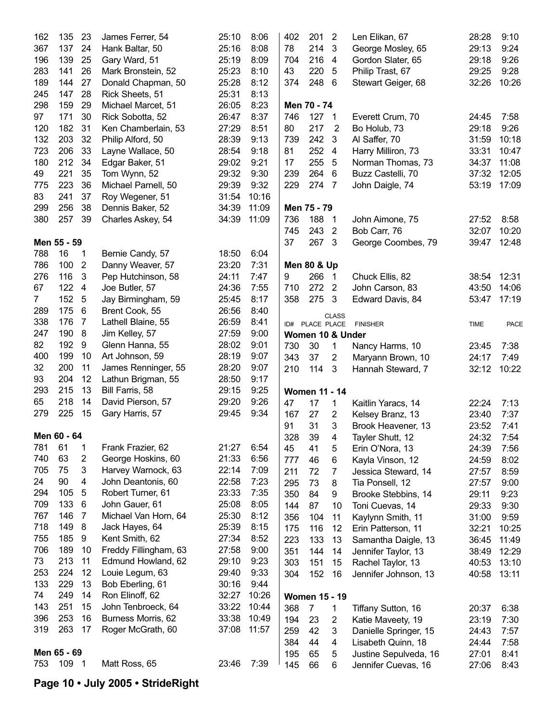| 162            | 135         | 23             | James Ferrer, 54      | 25:10 | 8:06  | 402 | 201                    | $\overline{2}$ | Len Elikan, 67        | 28:28       | 9:10  |
|----------------|-------------|----------------|-----------------------|-------|-------|-----|------------------------|----------------|-----------------------|-------------|-------|
| 367            | 137         | 24             | Hank Baltar, 50       | 25:16 | 8:08  | 78  | 214                    | $\mathbf{3}$   | George Mosley, 65     | 29:13       | 9:24  |
| 196            | 139         | 25             | Gary Ward, 51         | 25:19 | 8:09  | 704 | 216                    | $\overline{4}$ | Gordon Slater, 65     | 29:18       | 9:26  |
| 283            | 141         | 26             | Mark Bronstein, 52    | 25:23 | 8:10  | 43  | 220                    | 5              | Philip Trast, 67      | 29:25       | 9:28  |
| 189            | 144         | 27             | Donald Chapman, 50    | 25:28 | 8:12  | 374 | 248 6                  |                | Stewart Geiger, 68    | 32:26       | 10:26 |
| 245            | 147         | 28             | Rick Sheets, 51       | 25:31 | 8:13  |     |                        |                |                       |             |       |
| 298            | 159         | 29             | Michael Marcet, 51    | 26:05 | 8:23  |     | Men 70 - 74            |                |                       |             |       |
| 97             | 171         | 30             | Rick Sobotta, 52      | 26:47 | 8:37  | 746 | 127 1                  |                | Everett Crum, 70      | 24:45       | 7:58  |
| 120            | 182         | 31             | Ken Chamberlain, 53   | 27:29 | 8:51  | 80  | 217                    | $\overline{2}$ | Bo Holub, 73          | 29:18       | 9:26  |
| 132            | 203         | 32             | Philip Alford, 50     | 28:39 | 9:13  | 739 | 242                    | 3              | Al Saffer, 70         | 31:59       | 10:18 |
| 723            | 206         | 33             | Layne Wallace, 50     | 28:54 | 9:18  | 81  | 252                    | 4              | Harry Milliron, 73    | 33:31       | 10:47 |
| 180            | 212         | 34             | Edgar Baker, 51       | 29:02 | 9:21  | 17  | 255                    | 5              | Norman Thomas, 73     | 34:37       | 11:08 |
| 49             | 221         | 35             | Tom Wynn, 52          | 29:32 | 9:30  | 239 | 264 6                  |                | Buzz Castelli, 70     | 37:32       | 12:05 |
| 775            | 223         | 36             | Michael Parnell, 50   | 29:39 | 9:32  | 229 | 274 7                  |                | John Daigle, 74       | 53:19       | 17:09 |
| 83             | 241         | 37             | Roy Wegener, 51       | 31:54 | 10:16 |     |                        |                |                       |             |       |
| 299            | 256         | 38             | Dennis Baker, 52      | 34:39 | 11:09 |     | Men 75 - 79            |                |                       |             |       |
| 380            | 257         | 39             | Charles Askey, 54     | 34:39 | 11:09 | 736 | 188                    | $\overline{1}$ | John Aimone, 75       | 27:52       | 8:58  |
|                |             |                |                       |       |       | 745 | 243                    | 2              | Bob Carr, 76          | 32:07       | 10:20 |
|                | Men 55 - 59 |                |                       |       |       | 37  | 267                    | 3              | George Coombes, 79    | 39:47       | 12:48 |
| 788            | 16          | 1              | Bernie Candy, 57      | 18:50 | 6:04  |     |                        |                |                       |             |       |
| 786            | 100         | $\overline{2}$ | Danny Weaver, 57      | 23:20 | 7:31  |     | <b>Men 80 &amp; Up</b> |                |                       |             |       |
| 276            | 116         | 3              | Pep Hutchinson, 58    | 24:11 | 7:47  | 9   | 266                    | $\overline{1}$ | Chuck Ellis, 82       | 38:54       | 12:31 |
| 67             | 122         | $\overline{4}$ | Joe Butler, 57        | 24:36 | 7:55  | 710 | 272                    | $\overline{2}$ | John Carson, 83       | 43:50       | 14:06 |
| $\overline{7}$ | 152         |                |                       |       |       |     |                        |                |                       |             |       |
|                |             | 5              | Jay Birmingham, 59    | 25:45 | 8:17  | 358 | 275                    | $\overline{3}$ | Edward Davis, 84      | 53:47       | 17:19 |
| 289            | 175         | 6              | Brent Cook, 55        | 26:56 | 8:40  |     |                        | <b>CLASS</b>   |                       |             |       |
| 338            | 176         | $\overline{7}$ | Lathell Blaine, 55    | 26:59 | 8:41  |     | ID# PLACE PLACE        |                | <b>FINISHER</b>       | <b>TIME</b> | PACE  |
| 247            | 190         | 8              | Jim Kelley, 57        | 27:59 | 9:00  |     | Women 10 & Under       |                |                       |             |       |
| 82             | 192         | 9              | Glenn Hanna, 55       | 28:02 | 9:01  | 730 | 30                     | 1              | Nancy Harms, 10       | 23:45       | 7:38  |
| 400            | 199         | 10             | Art Johnson, 59       | 28:19 | 9:07  | 343 | 37                     | $\overline{2}$ | Maryann Brown, 10     | 24:17       | 7:49  |
| 32             | 200         | 11             | James Renninger, 55   | 28:20 | 9:07  | 210 | 114                    | $\mathbf{3}$   | Hannah Steward, 7     | 32:12       | 10:22 |
| 93             | 204         | 12             | Lathun Brigman, 55    | 28:50 | 9:17  |     |                        |                |                       |             |       |
| 293            | 215         | 13             | Bill Farris, 58       | 29:15 | 9:25  |     | <b>Women 11 - 14</b>   |                |                       |             |       |
| 65             | 218         | 14             | David Pierson, 57     | 29:20 | 9:26  | 47  | 17                     | 1              | Kaitlin Yaracs, 14    | 22:24       | 7:13  |
| 279            | 225         | 15             | Gary Harris, 57       | 29:45 | 9:34  | 167 | 27                     | $\overline{2}$ | Kelsey Branz, 13      | 23:40       | 7:37  |
|                |             |                |                       |       |       | 91  | 31                     | $\mathbf{3}$   | Brook Heavener, 13    | 23:52       | 7:41  |
|                | Men 60 - 64 |                |                       |       |       | 328 | 39                     | 4              | Tayler Shutt, 12      | 24:32       | 7:54  |
| 781            | 61          | 1              | Frank Frazier, 62     | 21:27 | 6:54  | 45  | 41                     | 5              | Erin O'Nora, 13       | 24:39       | 7:56  |
| 740            | 63          | 2              | George Hoskins, 60    | 21:33 | 6:56  | 777 | 46                     | 6              | Kayla Vinson, 12      | 24:59       | 8:02  |
| 705            | 75          | 3              | Harvey Warnock, 63    | 22:14 | 7:09  | 211 | 72                     | 7              | Jessica Steward, 14   | 27:57       | 8:59  |
| 24             | 90          | 4              | John Deantonis, 60    | 22:58 | 7:23  | 295 | 73                     | 8              | Tia Ponsell, 12       | 27:57       | 9:00  |
| 294            | 105         | 5              | Robert Turner, 61     | 23:33 | 7:35  | 350 | 84                     | 9              | Brooke Stebbins, 14   | 29:11       | 9:23  |
| 709            | 133         | $\,6$          | John Gauer, 61        | 25:08 | 8:05  | 144 | 87                     | 10             | Toni Cuevas, 14       | 29:33       | 9:30  |
| 767            | 146         | $\overline{7}$ | Michael Van Horn, 64  | 25:30 | 8:12  | 356 | 104                    | 11             | Kaylynn Smith, 11     | 31:00       | 9:59  |
| 718            | 149         | 8              | Jack Hayes, 64        | 25:39 | 8:15  | 175 | 116                    | 12             | Erin Patterson, 11    | 32:21       | 10:25 |
| 755            | 185         | 9              | Kent Smith, 62        | 27:34 | 8:52  | 223 | 133                    | 13             | Samantha Daigle, 13   | 36:45       | 11:49 |
| 706            | 189         | 10             | Freddy Fillingham, 63 | 27:58 | 9:00  | 351 | 144                    | 14             | Jennifer Taylor, 13   | 38:49       | 12:29 |
| 73             | 213         | 11             | Edmund Howland, 62    | 29:10 | 9:23  | 303 | 151                    | 15             | Rachel Taylor, 13     | 40:53       | 13:10 |
| 253            | 224         | 12             | Louie Legum, 63       | 29:40 | 9:33  | 304 | 152                    | 16             | Jennifer Johnson, 13  | 40:58       | 13:11 |
| 133            | 229         | 13             | Bob Eberling, 61      | 30:16 | 9:44  |     |                        |                |                       |             |       |
| 74             | 249         | 14             | Ron Elinoff, 62       | 32:27 | 10:26 |     | <b>Women 15 - 19</b>   |                |                       |             |       |
| 143            | 251         | 15             | John Tenbroeck, 64    | 33:22 | 10:44 | 368 | $\overline{7}$         | 1              | Tiffany Sutton, 16    | 20:37       | 6:38  |
| 396            | 253         | 16             | Burness Morris, 62    | 33:38 | 10:49 | 194 | 23                     | $\overline{c}$ | Katie Maveety, 19     | 23:19       | 7:30  |
| 319            | 263         | 17             | Roger McGrath, 60     | 37:08 | 11:57 | 259 | 42                     | 3              | Danielle Springer, 15 | 24:43       | 7:57  |
|                |             |                |                       |       |       | 384 | 44                     | 4              | Lisabeth Quinn, 18    | 24:44       | 7:58  |
|                | Men 65 - 69 |                |                       |       |       | 195 | 65                     | 5              | Justine Sepulveda, 16 | 27:01       | 8:41  |
| 753            | 109 1       |                | Matt Ross, 65         | 23:46 | 7:39  | 145 | 66                     | 6              | Jennifer Cuevas, 16   | 27:06       | 8:43  |
|                |             |                |                       |       |       |     |                        |                |                       |             |       |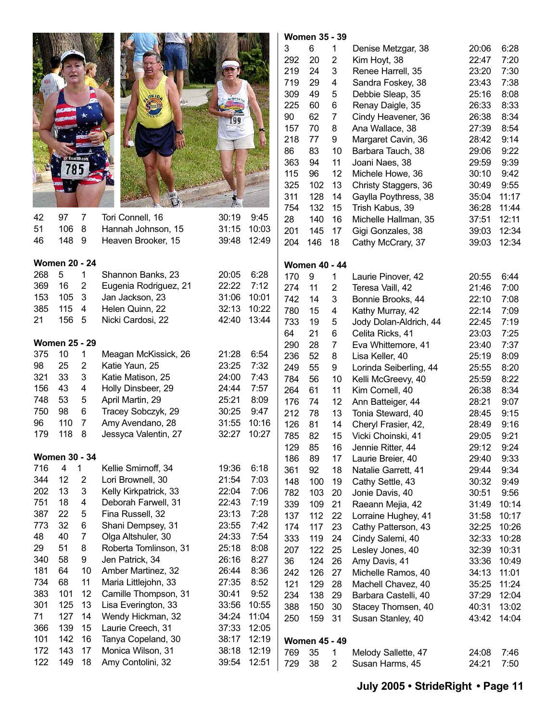

 $\overline{1}$ 

| -~  |                      |                | 01101111011 Duimo, 20 | ----  |       | 17 U | ັບ                   |    | Laurie Filiuvei, 42    | ∠ບ.ບບ | V.44  |
|-----|----------------------|----------------|-----------------------|-------|-------|------|----------------------|----|------------------------|-------|-------|
| 369 | 16                   | 2              | Eugenia Rodriguez, 21 | 22:22 | 7:12  | 274  | 11                   | 2  | Teresa Vaill, 42       | 21:46 | 7:00  |
| 153 | 105                  | 3              | Jan Jackson, 23       | 31:06 | 10:01 | 742  | 14                   | 3  | Bonnie Brooks, 44      | 22:10 | 7:08  |
| 385 | 115                  | 4              | Helen Quinn, 22       | 32:13 | 10:22 | 780  | 15                   | 4  | Kathy Murray, 42       | 22:14 | 7:09  |
| 21  | 156                  | 5              | Nicki Cardosi, 22     | 42:40 | 13:44 | 733  | 19                   | 5  | Jody Dolan-Aldrich, 44 | 22:45 | 7:19  |
|     |                      |                |                       |       |       | 64   | 21                   | 6  | Celita Ricks, 41       | 23:03 | 7:25  |
|     | <b>Women 25 - 29</b> |                |                       |       |       | 290  | 28                   | 7  | Eva Whittemore, 41     | 23:40 | 7:37  |
| 375 | 10                   | 1              | Meagan McKissick, 26  | 21:28 | 6:54  | 236  | 52                   | 8  | Lisa Keller, 40        | 25:19 | 8:09  |
| 98  | 25                   | 2              | Katie Yaun, 25        | 23:25 | 7:32  | 249  | 55                   | 9  | Lorinda Seiberling, 44 | 25:55 | 8:20  |
| 321 | 33                   | 3              | Katie Matison, 25     | 24:00 | 7:43  | 784  | 56                   | 10 | Kelli McGreevy, 40     | 25:59 | 8:22  |
| 156 | 43                   | 4              | Holly Dinsbeer, 29    | 24:44 | 7:57  | 264  | 61                   | 11 | Kim Cornell, 40        | 26:38 | 8:34  |
| 748 | 53                   | 5              | April Martin, 29      | 25:21 | 8:09  | 176  | 74                   | 12 | Ann Batteiger, 44      | 28:21 | 9:07  |
| 750 | 98                   | 6              | Tracey Sobczyk, 29    | 30:25 | 9:47  | 212  | 78                   | 13 | Tonia Steward, 40      | 28:45 | 9:15  |
| 96  | 110                  | 7              | Amy Avendano, 28      | 31:55 | 10:16 | 126  | 81                   | 14 | Cheryl Frasier, 42,    | 28:49 | 9:16  |
| 179 | 118                  | 8              | Jessyca Valentin, 27  | 32:27 | 10:27 | 785  | 82                   | 15 | Vicki Choinski, 41     | 29:05 | 9:21  |
|     |                      |                |                       |       |       | 129  | 85                   | 16 | Jennie Ritter, 44      | 29:12 | 9:24  |
|     | <b>Women 30 - 34</b> |                |                       |       |       | 186  | 89                   | 17 | Laurie Breier, 40      | 29:40 | 9:33  |
| 716 | 4                    | $\mathbf{1}$   | Kellie Smirnoff, 34   | 19:36 | 6:18  | 361  | 92                   | 18 | Natalie Garrett, 41    | 29:44 | 9:34  |
| 344 | 12                   | 2              | Lori Brownell, 30     | 21:54 | 7:03  | 148  | 100                  | 19 | Cathy Settle, 43       | 30:32 | 9:49  |
| 202 | 13                   | 3              | Kelly Kirkpatrick, 33 | 22:04 | 7:06  | 782  | 103                  | 20 | Jonie Davis, 40        | 30:51 | 9:56  |
| 751 | 18                   | 4              | Deborah Farwell, 31   | 22:43 | 7:19  | 339  | 109                  | 21 | Raeann Mejia, 42       | 31:49 | 10:14 |
| 387 | 22                   | 5              | Fina Russell, 32      | 23:13 | 7:28  | 137  | 112                  | 22 | Lorraine Hughey, 41    | 31:58 | 10:17 |
| 773 | 32                   | 6              | Shani Dempsey, 31     | 23:55 | 7:42  | 174  | 117                  | 23 | Cathy Patterson, 43    | 32:25 | 10:26 |
| 48  | 40                   | $\overline{7}$ | Olga Altshuler, 30    | 24:33 | 7:54  | 333  | 119                  | 24 | Cindy Salemi, 40       | 32:33 | 10:28 |
| 29  | 51                   | 8              | Roberta Tomlinson, 31 | 25:18 | 8:08  | 207  | 122                  | 25 | Lesley Jones, 40       | 32:39 | 10:31 |
| 340 | 58                   | 9              | Jen Patrick, 34       | 26:16 | 8:27  | 36   | 124                  | 26 | Amy Davis, 41          | 33:36 | 10:49 |
| 181 | 64                   | 10             | Amber Martinez, 32    | 26:44 | 8:36  | 242  | 126                  | 27 | Michelle Ramos, 40     | 34:13 | 11:01 |
| 734 | 68                   | 11             | Maria Littlejohn, 33  | 27:35 | 8:52  | 121  | 129                  | 28 | Machell Chavez, 40     | 35:25 | 11:24 |
| 383 | 101                  | 12             | Camille Thompson, 31  | 30:41 | 9:52  | 234  | 138                  | 29 | Barbara Castelli, 40   | 37:29 | 12:04 |
| 301 | 125                  | 13             | Lisa Everington, 33   | 33:56 | 10:55 | 388  | 150                  | 30 | Stacey Thomsen, 40     | 40:31 | 13:02 |
| 71  | 127                  | 14             | Wendy Hickman, 32     | 34:24 | 11:04 | 250  | 159                  | 31 | Susan Stanley, 40      | 43:42 | 14:04 |
| 366 | 139                  | 15             | Laurie Creech, 31     | 37:33 | 12:05 |      |                      |    |                        |       |       |
| 101 | 142                  | 16             | Tanya Copeland, 30    | 38:17 | 12:19 |      | <b>Women 45 - 49</b> |    |                        |       |       |

172 143 17 Monica Wilson, 31 38:18 12:19 122 149 18 Amy Contolini, 32 39:54 12:51

|                |            | <b>Women 35 - 39</b> |                     |                                            |                |              |
|----------------|------------|----------------------|---------------------|--------------------------------------------|----------------|--------------|
|                | 3          | 6                    | 1                   | Denise Metzgar, 38                         | 20:06          | 6:28         |
|                | 292        | 20                   | $\overline{2}$      | Kim Hoyt, 38                               | 22:47          | 7:20         |
|                | 219        | 24                   | 3                   | Renee Harrell, 35                          | 23:20          | 7:30         |
|                | 719        | 29                   | 4                   | Sandra Foskey, 38                          | 23:43          | 7:38         |
|                | 309        | 49                   | 5                   | Debbie Sleap, 35                           | 25:16          | 8:08         |
|                | 225        | 60                   | 6                   | Renay Daigle, 35                           | 26:33          | 8:33         |
|                | 90         | 62                   | 7                   | Cindy Heavener, 36                         | 26:38          | 8:34         |
| b,             | 157        | 70                   | 8                   | Ana Wallace, 38                            | 27:39          | 8:54         |
| ij.            | 218        | 77                   | 9                   | Margaret Cavin, 36                         | 28:42          | 9:14         |
|                | 86         | 83                   | 10                  | Barbara Tauch, 38                          | 29:06          | 9:22         |
|                | 363        | 94                   | 11                  | Joani Naes, 38                             | 29:59          | 9:39         |
|                | 115        | 96                   | 12                  | Michele Howe, 36                           | 30:10          | 9:42         |
|                | 325        | 102                  | 13                  | Christy Staggers, 36                       | 30:49          | 9:55         |
|                | 311        | 128                  | 14                  | Gaylla Poythress, 38                       | 35:04          | 11:17        |
|                | 754        | 132                  | 15                  | Trish Kabus, 39                            | 36:28          | 11:44        |
| ŀ5             | 28         | 140                  | 16                  | Michelle Hallman, 35                       | 37:51          | 12:11        |
| 03             | 201        | 145                  | 17                  | Gigi Gonzales, 38                          | 39:03          | 12:34        |
| 49             | 204        | 146                  | 18                  | Cathy McCrary, 37                          | 39:03          | 12:34        |
|                |            |                      |                     |                                            |                |              |
| 28             | 170        | <b>Women 40 - 44</b> |                     |                                            |                |              |
| 2              |            | 9<br>11              | 1<br>$\overline{2}$ | Laurie Pinover, 42                         | 20:55          | 6:44         |
| 01             | 274        |                      | 3                   | Teresa Vaill, 42                           | 21:46          | 7:00<br>7:08 |
| 22             | 742<br>780 | 14<br>15             | 4                   | Bonnie Brooks, 44                          | 22:10          | 7:09         |
| 44             | 733        | 19                   | 5                   | Kathy Murray, 42<br>Jody Dolan-Aldrich, 44 | 22:14<br>22:45 | 7:19         |
|                | 64         | 21                   | 6                   | Celita Ricks, 41                           | 23:03          | 7:25         |
|                | 290        | 28                   | 7                   | Eva Whittemore, 41                         | 23:40          | 7:37         |
| j4             | 236        | 52                   | 8                   | Lisa Keller, 40                            | 25:19          | 8:09         |
| $^{12}$        | 249        | 55                   | 9                   | Lorinda Seiberling, 44                     | 25:55          | 8:20         |
| ŀЗ             | 784        | 56                   | 10                  | Kelli McGreevy, 40                         | 25:59          | 8:22         |
| 57             | 264        | 61                   | 11                  | Kim Cornell, 40                            | 26:38          | 8:34         |
| 19             | 176        | 74                   | 12                  | Ann Batteiger, 44                          | 28:21          | 9:07         |
| 17             | 212        | 78                   | 13                  | Tonia Steward, 40                          | 28:45          | 9:15         |
| 16             | 126        | 81                   | 14                  | Cheryl Frasier, 42,                        | 28:49          | 9:16         |
| 27             | 785        | 82                   | 15                  | Vicki Choinski, 41                         | 29:05          | 9:21         |
|                | 129        | 85                   | 16                  | Jennie Ritter, 44                          | 29:12          | 9:24         |
|                | 186        | 89                   | 17                  | Laurie Breier, 40                          | 29:40          | 9:33         |
| 8              | 361        | 92                   | 18                  | Natalie Garrett, 41                        | 29:44          | 9:34         |
| 13             | 148        | 100                  | 19                  | Cathy Settle, 43                           | 30:32          | 9:49         |
| 16             | 782        | 103                  | 20                  | Jonie Davis, 40                            | 30:51          | 9:56         |
| 9              | 339        | 109                  | 21                  | Raeann Mejia, 42                           | 31:49          | 10:14        |
| 8              | 137        | 112                  | 22                  | Lorraine Hughey, 41                        | 31:58          | 10:17        |
| $\overline{2}$ | 174        | 117                  | 23                  | Cathy Patterson, 43                        | 32:25          | 10:26        |
| ,4             | 333        | 119                  | 24                  | Cindy Salemi, 40                           | 32:33          | 10:28        |
| 8              | 207        | 122                  | 25                  | Lesley Jones, 40                           | 32:39          | 10:31        |
| $\cdot$ 7      | 36         | 124                  | 26                  | Amy Davis, 41                              | 33:36          | 10:49        |
| 86             | 242        | 126                  | 27                  | Michelle Ramos, 40                         | 34:13          | 11:01        |
| $\mathbf{z}$   | 121        | 129                  | 28                  | Machell Chavez, 40                         | 35:25          | 11:24        |
|                |            |                      |                     |                                            |                |              |

769 35 1 Melody Sallette, 47 24:08 7:46 729 38 2 Susan Harms, 45 24:21 7:50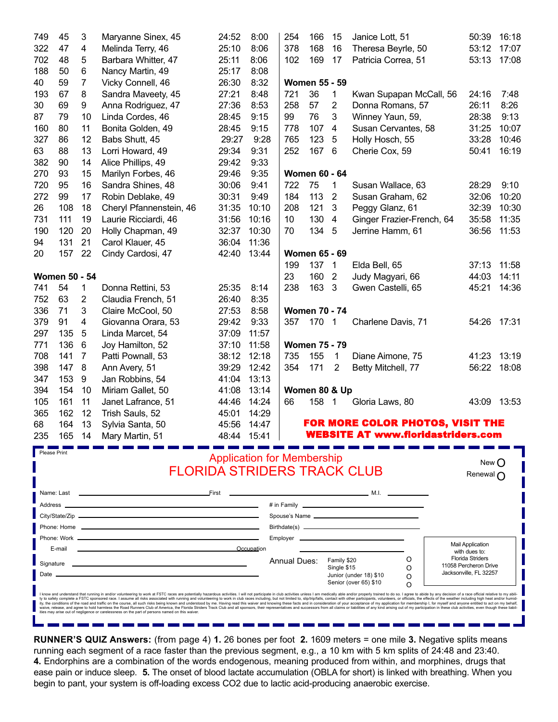| 749          | 45                   | 3              | Maryanne Sinex, 45                                                                                                                                                                                                                                                                                                                                                                                                                                               | 24:52 | 8:00                              | 254          | 166                  | 15                         | Janice Lott, 51                                                                                                      | 50:39                                    | 16:18 |
|--------------|----------------------|----------------|------------------------------------------------------------------------------------------------------------------------------------------------------------------------------------------------------------------------------------------------------------------------------------------------------------------------------------------------------------------------------------------------------------------------------------------------------------------|-------|-----------------------------------|--------------|----------------------|----------------------------|----------------------------------------------------------------------------------------------------------------------|------------------------------------------|-------|
| 322          | 47                   | 4              | Melinda Terry, 46                                                                                                                                                                                                                                                                                                                                                                                                                                                | 25:10 | 8:06                              | 378          | 168                  | 16                         | Theresa Beyrle, 50                                                                                                   | 53:12                                    | 17:07 |
| 702          | 48                   | 5              | Barbara Whitter, 47                                                                                                                                                                                                                                                                                                                                                                                                                                              | 25:11 | 8:06                              | 102          | 169                  | 17                         | Patricia Correa, 51                                                                                                  | 53:13                                    | 17:08 |
| 188          | 50                   | 6              | Nancy Martin, 49                                                                                                                                                                                                                                                                                                                                                                                                                                                 | 25:17 | 8:08                              |              |                      |                            |                                                                                                                      |                                          |       |
| 40           | 59                   | $\overline{7}$ | Vicky Connell, 46                                                                                                                                                                                                                                                                                                                                                                                                                                                | 26:30 | 8:32                              |              | <b>Women 55 - 59</b> |                            |                                                                                                                      |                                          |       |
| 193          | 67                   | 8              | Sandra Maveety, 45                                                                                                                                                                                                                                                                                                                                                                                                                                               | 27:21 | 8:48                              | 721          | 36                   | 1                          | Kwan Supapan McCall, 56                                                                                              | 24:16                                    | 7:48  |
| 30           | 69                   | 9              | Anna Rodriguez, 47                                                                                                                                                                                                                                                                                                                                                                                                                                               | 27:36 | 8:53                              | 258          | 57                   | $\overline{2}$             | Donna Romans, 57                                                                                                     | 26:11                                    | 8:26  |
| 87           | 79                   | 10             | Linda Cordes, 46                                                                                                                                                                                                                                                                                                                                                                                                                                                 | 28:45 | 9:15                              | 99           | 76                   | 3                          | Winney Yaun, 59,                                                                                                     | 28:38                                    | 9:13  |
| 160          | 80                   | 11             | Bonita Golden, 49                                                                                                                                                                                                                                                                                                                                                                                                                                                | 28:45 | 9:15                              | 778          | 107                  | $\overline{4}$             | Susan Cervantes, 58                                                                                                  | 31:25                                    | 10:07 |
| 327          | 86                   | 12             | Babs Shutt, 45                                                                                                                                                                                                                                                                                                                                                                                                                                                   | 29:27 | 9:28                              | 765          | 123                  | $\overline{5}$             | Holly Hosch, 55                                                                                                      | 33:28                                    | 10:46 |
| 63           | 88                   | 13             | Lorri Howard, 49                                                                                                                                                                                                                                                                                                                                                                                                                                                 | 29:34 | 9:31                              | 252          | 167 6                |                            | Cherie Cox, 59                                                                                                       | 50:41                                    | 16:19 |
| 382          | 90                   | 14             | Alice Phillips, 49                                                                                                                                                                                                                                                                                                                                                                                                                                               | 29:42 | 9:33                              |              |                      |                            |                                                                                                                      |                                          |       |
| 270          | 93                   | 15             | Marilyn Forbes, 46                                                                                                                                                                                                                                                                                                                                                                                                                                               | 29:46 | 9:35                              |              | <b>Women 60 - 64</b> |                            |                                                                                                                      |                                          |       |
| 720          | 95                   | 16             | Sandra Shines, 48                                                                                                                                                                                                                                                                                                                                                                                                                                                | 30:06 | 9:41                              | 722          | 75                   | 1                          | Susan Wallace, 63                                                                                                    | 28:29                                    | 9:10  |
| 272          | 99                   | 17             | Robin Deblake, 49                                                                                                                                                                                                                                                                                                                                                                                                                                                | 30:31 | 9:49                              | 184          | 113                  | $\overline{2}$             | Susan Graham, 62                                                                                                     | 32:06                                    | 10:20 |
| 26           | 108                  | 18             | Cheryl Pfannenstein, 46                                                                                                                                                                                                                                                                                                                                                                                                                                          | 31:35 | 10:10                             | 208          | 121                  | 3                          | Peggy Glanz, 61                                                                                                      | 32:39                                    | 10:30 |
| 731          | 111                  | 19             | Laurie Ricciardi, 46                                                                                                                                                                                                                                                                                                                                                                                                                                             | 31:56 | 10:16                             | 10           | 130                  | $\overline{4}$             | Ginger Frazier-French, 64                                                                                            | 35:58                                    | 11:35 |
| 190          | 120                  | 20             | Holly Chapman, 49                                                                                                                                                                                                                                                                                                                                                                                                                                                | 32:37 | 10:30                             | 70           | 134 5                |                            | Jerrine Hamm, 61                                                                                                     | 36:56                                    | 11:53 |
| 94           | 131                  | 21             | Carol Klauer, 45                                                                                                                                                                                                                                                                                                                                                                                                                                                 | 36:04 | 11:36                             |              |                      |                            |                                                                                                                      |                                          |       |
| 20           | 157                  | 22             | Cindy Cardosi, 47                                                                                                                                                                                                                                                                                                                                                                                                                                                | 42:40 | 13:44                             |              | <b>Women 65 - 69</b> |                            |                                                                                                                      |                                          |       |
|              |                      |                |                                                                                                                                                                                                                                                                                                                                                                                                                                                                  |       |                                   | 199          | 137 1                |                            | Elda Bell, 65                                                                                                        | 37:13                                    | 11:58 |
|              | <b>Women 50 - 54</b> |                |                                                                                                                                                                                                                                                                                                                                                                                                                                                                  |       |                                   | 23           | 160                  | $\overline{2}$             | Judy Magyari, 66                                                                                                     | 44:03                                    | 14:11 |
| 741          | 54                   | 1              | Donna Rettini, 53                                                                                                                                                                                                                                                                                                                                                                                                                                                | 25:35 | 8:14                              | 238          | 163 3                |                            | Gwen Castelli, 65                                                                                                    | 45:21                                    | 14:36 |
| 752          | 63                   | $\overline{2}$ | Claudia French, 51                                                                                                                                                                                                                                                                                                                                                                                                                                               | 26:40 | 8:35                              |              |                      |                            |                                                                                                                      |                                          |       |
| 336          | 71                   | 3              | Claire McCool, 50                                                                                                                                                                                                                                                                                                                                                                                                                                                | 27:53 | 8:58                              |              | <b>Women 70 - 74</b> |                            |                                                                                                                      |                                          |       |
| 379          | 91                   | 4              | Giovanna Orara, 53                                                                                                                                                                                                                                                                                                                                                                                                                                               | 29:42 | 9:33                              | 357          | 170                  | $\overline{\mathbf{1}}$    | Charlene Davis, 71                                                                                                   | 54:26                                    | 17:31 |
| 297          | 135                  | 5              | Linda Marcet, 54                                                                                                                                                                                                                                                                                                                                                                                                                                                 | 37:09 | 11:57                             |              |                      |                            |                                                                                                                      |                                          |       |
| 771          | 136                  | 6              | Joy Hamilton, 52                                                                                                                                                                                                                                                                                                                                                                                                                                                 | 37:10 | 11:58                             |              | <b>Women 75 - 79</b> |                            |                                                                                                                      |                                          |       |
| 708          | 141                  | $\overline{7}$ | Patti Pownall, 53                                                                                                                                                                                                                                                                                                                                                                                                                                                | 38:12 | 12:18                             | 735          | 155                  | 1                          | Diane Aimone, 75                                                                                                     | 41:23                                    | 13:19 |
| 398          | 147                  | 8              | Ann Avery, 51                                                                                                                                                                                                                                                                                                                                                                                                                                                    | 39:29 | 12:42                             | 354          | 171                  | 2                          | Betty Mitchell, 77                                                                                                   | 56:22                                    | 18:08 |
| 347          | 153                  | 9              | Jan Robbins, 54                                                                                                                                                                                                                                                                                                                                                                                                                                                  | 41:04 | 13:13                             |              |                      |                            |                                                                                                                      |                                          |       |
| 394          | 154                  | 10             | Miriam Gallet, 50                                                                                                                                                                                                                                                                                                                                                                                                                                                | 41:08 | 13:14                             |              | Women 80 & Up        |                            |                                                                                                                      |                                          |       |
| 105          | 161                  | 11             | Janet Lafrance, 51                                                                                                                                                                                                                                                                                                                                                                                                                                               | 44:46 | 14:24                             | 66           | 158 1                |                            | Gloria Laws, 80                                                                                                      | 43:09                                    | 13:53 |
| 365          | 162                  | 12             | Trish Sauls, 52                                                                                                                                                                                                                                                                                                                                                                                                                                                  | 45:01 | 14:29                             |              |                      |                            |                                                                                                                      |                                          |       |
| 68           | 164                  | 13             | Sylvia Santa, 50                                                                                                                                                                                                                                                                                                                                                                                                                                                 | 45:56 | 14:47                             |              |                      |                            | FOR MORE COLOR PHOTOS, VISIT THE                                                                                     |                                          |       |
| 235          | 165                  | 14             | Mary Martin, 51                                                                                                                                                                                                                                                                                                                                                                                                                                                  |       | $19.11$ $15.11$<br>10.4T          |              |                      |                            | WFRSITF AT www.floridaetridare.com                                                                                   |                                          |       |
| Please Print |                      |                |                                                                                                                                                                                                                                                                                                                                                                                                                                                                  |       |                                   |              |                      |                            |                                                                                                                      |                                          |       |
|              |                      |                |                                                                                                                                                                                                                                                                                                                                                                                                                                                                  |       | <b>Application for Membership</b> |              |                      |                            |                                                                                                                      | New $\bigcap$                            |       |
|              |                      |                | <b>FLORIDA STRIDERS TRACK CLUB</b>                                                                                                                                                                                                                                                                                                                                                                                                                               |       |                                   |              |                      |                            |                                                                                                                      | Renewal n                                |       |
|              |                      |                |                                                                                                                                                                                                                                                                                                                                                                                                                                                                  |       |                                   |              |                      |                            |                                                                                                                      |                                          |       |
|              |                      |                | <u>First</u>                                                                                                                                                                                                                                                                                                                                                                                                                                                     |       |                                   |              |                      |                            | <u> — М.І. — М.І. — М.І. — М.І. — М.І. — М.І. — М.І. — М.І. — М.І. — М.І. — М.І. — М.І. — М.І. — М.І. — М.І. — М</u> |                                          |       |
|              | Address __           |                |                                                                                                                                                                                                                                                                                                                                                                                                                                                                  |       |                                   |              |                      |                            |                                                                                                                      |                                          |       |
|              |                      |                |                                                                                                                                                                                                                                                                                                                                                                                                                                                                  |       |                                   |              |                      |                            | Spouse's Name                                                                                                        |                                          |       |
|              |                      |                |                                                                                                                                                                                                                                                                                                                                                                                                                                                                  |       |                                   |              |                      |                            |                                                                                                                      |                                          |       |
|              |                      |                |                                                                                                                                                                                                                                                                                                                                                                                                                                                                  |       |                                   |              |                      |                            |                                                                                                                      | <b>Mail Application</b>                  |       |
|              | E-mail               |                |                                                                                                                                                                                                                                                                                                                                                                                                                                                                  |       | Occupation                        |              |                      |                            | O                                                                                                                    | with dues to:<br><b>Florida Striders</b> |       |
|              |                      |                |                                                                                                                                                                                                                                                                                                                                                                                                                                                                  |       |                                   | Annual Dues: |                      | Family \$20<br>Single \$15 | O                                                                                                                    | 11058 Percheron Drive                    |       |
| Date         |                      |                |                                                                                                                                                                                                                                                                                                                                                                                                                                                                  |       |                                   |              |                      |                            | Junior (under 18) \$10<br>O                                                                                          | Jacksonville, FL 32257                   |       |
|              |                      |                | I know and understand that running in and/or volunteering to work at FSTC races are potentially hazardous activities. I will not participate in club activities unless I am medically able and/or properly trained to do so. I                                                                                                                                                                                                                                   |       |                                   |              |                      |                            | Senior (over 65) \$10<br>O                                                                                           |                                          |       |
|              |                      |                | ty to safely complete a FSTC sponsored race. I assume all risks associated with running and volunteering to work in club races including, but not limited to, slip/trip/falls, contact with other participants, volunteers, or<br>ity, the conditions of the road and traffic on the course, all such risks being known and understood by me. Having read this waiver and knowing these facts and in consideration of your acceptance of my application for memb |       |                                   |              |                      |                            |                                                                                                                      |                                          |       |
|              |                      |                | waive, release, and agree to hold harmless the Road Runners Club of America, the Florida Striders Track Club and all sponsors, their representatives and successors from all claims or liabilities of any kind arising out of<br>ities may arise out of negligence or carelessness on the part of persons named on this waiver.                                                                                                                                  |       |                                   |              |                      |                            |                                                                                                                      |                                          |       |

**RUNNER'S QUIZ Answers:** (from page 4) **1.** 26 bones per foot **2.** 1609 meters = one mile **3.** Negative splits means running each segment of a race faster than the previous segment, e.g., a 10 km with 5 km splits of 24:48 and 23:40. **4.** Endorphins are a combination of the words endogenous, meaning produced from within, and morphines, drugs that ease pain or induce sleep. **5.** The onset of blood lactate accumulation (OBLA for short) is linked with breathing. When you begin to pant, your system is off-loading excess CO2 due to lactic acid-producing anaerobic exercise.

m n m.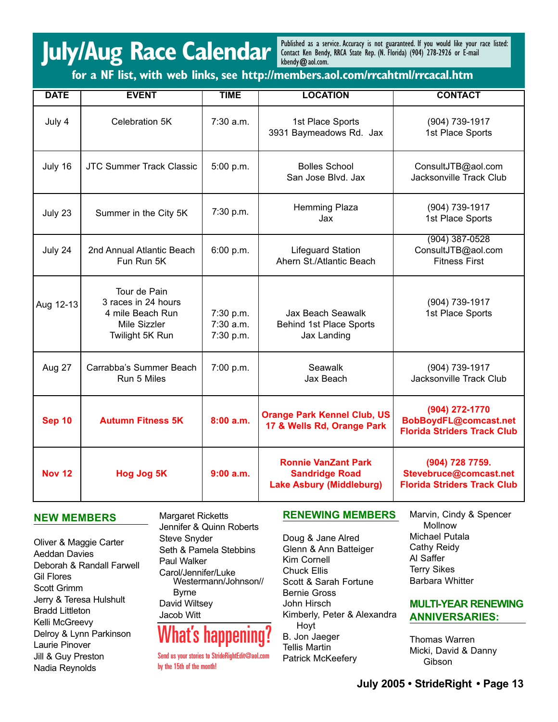## **July/Aug Race Calendar**

Published as a service. Accuracy is not guaranteed. If you would like your race listed: Contact Ken Bendy, RRCA State Rep. (N. Florida) (904) 278-2926 or E-mail kbendy@aol.com.

**for a NF list, with web links, see http://members.aol.com/rrcahtml/rrcacal.htm**

| <b>DATE</b>   | <b>EVENT</b>                                                                               | <b>TIME</b>                           | <b>LOCATION</b>                                                                        | <b>CONTACT</b>                                                                  |
|---------------|--------------------------------------------------------------------------------------------|---------------------------------------|----------------------------------------------------------------------------------------|---------------------------------------------------------------------------------|
| July 4        | Celebration 5K                                                                             | $7:30$ a.m.                           | 1st Place Sports<br>3931 Baymeadows Rd. Jax                                            | (904) 739-1917<br>1st Place Sports                                              |
| July 16       | <b>JTC Summer Track Classic</b>                                                            | 5:00 p.m.                             | <b>Bolles School</b><br>San Jose Blvd. Jax                                             | ConsultJTB@aol.com<br>Jacksonville Track Club                                   |
| July 23       | Summer in the City 5K                                                                      | 7:30 p.m.                             | Hemming Plaza<br>Jax                                                                   | (904) 739-1917<br>1st Place Sports                                              |
| July 24       | 2nd Annual Atlantic Beach<br>Fun Run 5K                                                    | 6:00 p.m.                             | <b>Lifeguard Station</b><br>Ahern St./Atlantic Beach                                   | $(904)$ 387-0528<br>ConsultJTB@aol.com<br><b>Fitness First</b>                  |
| Aug 12-13     | Tour de Pain<br>3 races in 24 hours<br>4 mile Beach Run<br>Mile Sizzler<br>Twilight 5K Run | 7:30 p.m.<br>$7:30$ a.m.<br>7:30 p.m. | Jax Beach Seawalk<br><b>Behind 1st Place Sports</b><br>Jax Landing                     | (904) 739-1917<br>1st Place Sports                                              |
| Aug 27        | Carrabba's Summer Beach<br>Run 5 Miles                                                     | 7:00 p.m.                             | Seawalk<br>Jax Beach                                                                   | (904) 739-1917<br>Jacksonville Track Club                                       |
| <b>Sep 10</b> | <b>Autumn Fitness 5K</b>                                                                   | 8:00a.m.                              | <b>Orange Park Kennel Club, US</b><br>17 & Wells Rd, Orange Park                       | (904) 272-1770<br>BobBoydFL@comcast.net<br><b>Florida Striders Track Club</b>   |
| <b>Nov 12</b> | <b>Hog Jog 5K</b>                                                                          | 9:00 a.m.                             | <b>Ronnie VanZant Park</b><br><b>Sandridge Road</b><br><b>Lake Asbury (Middleburg)</b> | (904) 728 7759.<br>Stevebruce@comcast.net<br><b>Florida Striders Track Club</b> |

### **NEW MEMBERS**

Oliver & Maggie Carter Aeddan Davies Deborah & Randall Farwell Gil Flores Scott Grimm Jerry & Teresa Hulshult Bradd Littleton Kelli McGreevy Delroy & Lynn Parkinson Laurie Pinover Jill & Guy Preston Nadia Reynolds

Margaret Ricketts Jennifer & Quinn Roberts Steve Snyder Seth & Pamela Stebbins Paul Walker Carol/Jennifer/Luke Westermann/Johnson// Byrne David Wiltsey Jacob Witt

### What's happening?

Send us your stories to StrideRightEdit@aol.com by the 15th of the month!

### **RENEWING MEMBERS**

Doug & Jane Alred Glenn & Ann Batteiger Kim Cornell Chuck Ellis Scott & Sarah Fortune Bernie Gross John Hirsch Kimberly, Peter & Alexandra Hoyt B. Jon Jaeger Tellis Martin Patrick McKeefery

Marvin, Cindy & Spencer Mollnow Michael Putala Cathy Reidy Al Saffer Terry Sikes Barbara Whitter

### **MULTI-YEAR RENEWING ANNIVERSARIES:**

Thomas Warren Micki, David & Danny Gibson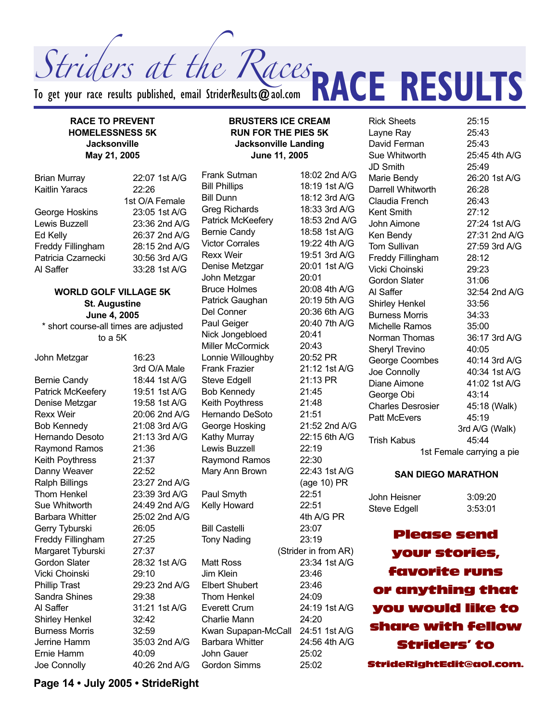Striders at the Races

To get your race results published, email StriderResults  $\bm{\varpi}$ aol.com

### **RACE TO PREVENT HOMELESSNESS 5K Jacksonville May 21, 2005**

| <b>Brian Murray</b>   | 22:07 1st A/G  |
|-----------------------|----------------|
| <b>Kaitlin Yaracs</b> | 22:26          |
|                       | 1st O/A Female |
| George Hoskins        | 23:05 1st A/G  |
| Lewis Buzzell         | 23:36 2nd A/G  |
| Ed Kelly              | 26:37 2nd A/G  |
| Freddy Fillingham     | 28:15 2nd A/G  |
| Patricia Czarnecki    | 30:56 3rd A/G  |
| Al Saffer             | 33:28 1st A/G  |
|                       |                |

### **WORLD GOLF VILLAGE 5K St. Augustine June 4, 2005**

\* short course-all times are adjusted to a 5K

John Metzgar 16:23 Bernie Candy 18:44 1st A/G Patrick McKeefery 19:51 1st A/G Denise Metzgar 19:58 1st A/G Rexx Weir 20:06 2nd A/G Bob Kennedy 21:08 3rd A/G Hernando Desoto 21:13 3rd A/G Raymond Ramos 21:36 Keith Poythress 21:37 Danny Weaver 22:52 Ralph Billings 23:27 2nd A/G Thom Henkel 23:39 3rd A/G Sue Whitworth 24:49 2nd A/G Barbara Whitter 25:02 2nd A/G Gerry Tyburski 26:05 Freddy Fillingham 27:25 Margaret Tyburski 27:37 Gordon Slater 28:32 1st A/G Vicki Choinski 29:10 Phillip Trast 29:23 2nd A/G Sandra Shines 29:38 Al Saffer 31:21 1st A/G Shirley Henkel 32:42 Burness Morris 32:59 Jerrine Hamm 35:03 2nd A/G Ernie Hamm 40:09 Joe Connolly 40:26 2nd A/G

3rd O/A Male

**BRUSTERS ICE CREAM RUN FOR THE PIES 5K Jacksonville Landing June 11, 2005**

Bill Phillips 18:19 1st A/G Bill Dunn 18:12 3rd A/G Greg Richards 18:33 3rd A/G Patrick McKeefery 18:53 2nd A/G Bernie Candy 18:58 1st A/G Victor Corrales 19:22 4th A/G Rexx Weir 19:51 3rd A/G Denise Metzgar 20:01 1st A/G John Metzgar 20:01 Bruce Holmes 20:08 4th A/G Patrick Gaughan 20:19 5th A/G Del Conner 20:36 6th A/G Paul Geiger 20:40 7th A/G Nick Jongebloed 20:41 Miller McCormick 20:43 Lonnie Willoughby 20:52 PR Frank Frazier 21:12 1st A/G Steve Edgell 21:13 PR Bob Kennedy 21:45 Keith Poythress 21:48 Hernando DeSoto 21:51 George Hosking 21:52 2nd A/G Kathy Murray 22:15 6th A/G Lewis Buzzell 22:19 Raymond Ramos 22:30 Mary Ann Brown 22:43 1st A/G Paul Smyth 22:51 Kelly Howard 22:51 Bill Castelli 23:07 Tony Nading 23:19 Matt Ross 23:34 1st A/G Jim Klein 23:46 Elbert Shubert 23:46 Thom Henkel 24:09 Everett Crum 24:19 1st A/G Charlie Mann 24:20 Kwan Supapan-McCall 24:51 1st A/G Barbara Whitter 24:56 4th A/G John Gauer 25:02 Gordon Simms 25:02

Frank Sutman 18:02 2nd A/G (age 10) PR 4th A/G PR (Strider in from AR)

Rick Sheets 25:15 Layne Ray 25:43<br>David Ferman 25:43 David Ferman Sue Whitworth 25:45 4th A/G JD Smith 25:49 Marie Bendy 26:20 1st A/G Darrell Whitworth 26:28 Claudia French 26:43 Kent Smith 27:12 John Aimone 27:24 1st A/G Ken Bendy 27:31 2nd A/G Tom Sullivan 27:59 3rd A/G Freddy Fillingham 28:12 Vicki Choinski 29:23 Gordon Slater 31:06 Al Saffer 32:54 2nd A/G Shirley Henkel 33:56 Burness Morris 34:33 Michelle Ramos 35:00 Norman Thomas 36:17 3rd A/G Sheryl Trevino 40:05 George Coombes 40:14 3rd A/G Joe Connolly 40:34 1st A/G Diane Aimone 41:02 1st A/G George Obi 43:14 Charles Desrosier 45:18 (Walk) Patt McEvers 45:19 3rd A/G (Walk) Trish Kabus 45:44 1st Female carrying a pie

**RACE RESULTS** 

#### **SAN DIEGO MARATHON**

John Heisner 3:09:20 Steve Edgell 3:53:01

Please send your stories, favorite runs or anything that you would like to share with fellow Striders' to StrideRightEdit@aol.com.

**Page 14 • July 2005 • StrideRight**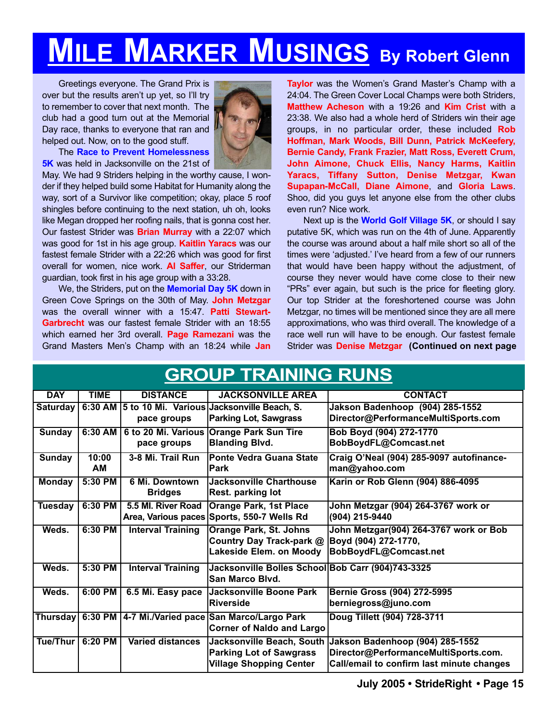## **MILE MARKER MUSINGS By Robert Glenn**

Greetings everyone. The Grand Prix is over but the results aren't up yet, so I'll try to remember to cover that next month. The club had a good turn out at the Memorial Day race, thanks to everyone that ran and helped out. Now, on to the good stuff.



The **Race to Prevent Homelessness 5K** was held in Jacksonville on the 21st of

May. We had 9 Striders helping in the worthy cause, I wonder if they helped build some Habitat for Humanity along the way, sort of a Survivor like competition; okay, place 5 roof shingles before continuing to the next station, uh oh, looks like Megan dropped her roofing nails, that is gonna cost her. Our fastest Strider was **Brian Murray** with a 22:07 which was good for 1st in his age group. **Kaitlin Yaracs** was our fastest female Strider with a 22:26 which was good for first overall for women, nice work. **Al Saffer**, our Striderman guardian, took first in his age group with a 33:28.

We, the Striders, put on the **Memorial Day 5K** down in Green Cove Springs on the 30th of May. **John Metzgar** was the overall winner with a 15:47. **Patti Stewart-Garbrecht** was our fastest female Strider with an 18:55 which earned her 3rd overall. **Page Ramezani** was the Grand Masters Men's Champ with an 18:24 while **Jan**

**Taylor** was the Women's Grand Master's Champ with a 24:04. The Green Cover Local Champs were both Striders, **Matthew Acheson** with a 19:26 and **Kim Crist** with a 23:38. We also had a whole herd of Striders win their age groups, in no particular order, these included **Rob Hoffman, Mark Woods, Bill Dunn, Patrick McKeefery, Bernie Candy, Frank Frazier, Matt Ross, Everett Crum, John Aimone, Chuck Ellis, Nancy Harms, Kaitlin Yaracs, Tiffany Sutton, Denise Metzgar, Kwan Supapan-McCall, Diane Aimone**, and **Gloria Laws**. Shoo, did you guys let anyone else from the other clubs even run? Nice work.

Next up is the **World Golf Village 5K**, or should I say putative 5K, which was run on the 4th of June. Apparently the course was around about a half mile short so all of the times were 'adjusted.' I've heard from a few of our runners that would have been happy without the adjustment, of course they never would have come close to their new "PRs" ever again, but such is the price for fleeting glory. Our top Strider at the foreshortened course was John Metzgar, no times will be mentioned since they are all mere approximations, who was third overall. The knowledge of a race well run will have to be enough. Our fastest female Strider was **Denise Metzgar (Continued on next page**

| <b>GROUP TRAINING RUNS</b> |             |                          |                                                               |                                                           |
|----------------------------|-------------|--------------------------|---------------------------------------------------------------|-----------------------------------------------------------|
| <b>DAY</b>                 | <b>TIME</b> | <b>DISTANCE</b>          | <b>JACKSONVILLE AREA</b>                                      | <b>CONTACT</b>                                            |
| <b>Saturday</b>            | 6:30 AM     |                          | 5 to 10 Mi. Various Jacksonville Beach, S.                    | Jakson Badenhoop (904) 285-1552                           |
|                            |             | pace groups              | <b>Parking Lot, Sawgrass</b>                                  | Director@PerformanceMultiSports.com                       |
| <b>Sunday</b>              | 6:30 AM     |                          | 6 to 20 Mi. Various Orange Park Sun Tire                      | Bob Boyd (904) 272-1770                                   |
|                            |             | pace groups              | <b>Blanding Blvd.</b>                                         | BobBoydFL@Comcast.net                                     |
| <b>Sunday</b>              | 10:00       | 3-8 Mi. Trail Run        | <b>IPonte Vedra Guana State</b>                               | Craig O'Neal (904) 285-9097 autofinance-                  |
|                            | <b>AM</b>   |                          | <b>IPark</b>                                                  | man@yahoo.com                                             |
| <b>Monday</b>              | 5:30 PM     | 6 Mi. Downtown           | Jacksonville Charthouse                                       | Karin or Rob Glenn (904) 886-4095                         |
|                            |             | <b>Bridges</b>           | <b>Rest. parking lot</b>                                      |                                                           |
| <b>Tuesday</b>             | 6:30 PM     | 5.5 MI. River Road       | <b>Orange Park, 1st Place</b>                                 | John Metzgar (904) 264-3767 work or                       |
|                            |             |                          | Area, Various paces Sports, 550-7 Wells Rd                    | (904) 215-9440                                            |
| Weds.                      | 6:30 PM     | <b>Interval Training</b> | <b>Orange Park, St. Johns</b>                                 | John Metzgar(904) 264-3767 work or Bob                    |
|                            |             |                          | Country Day Track-park @                                      | Boyd (904) 272-1770,                                      |
|                            |             |                          | Lakeside Elem. on Moody                                       | BobBoydFL@Comcast.net                                     |
| Weds.                      | 5:30 PM     | <b>Interval Training</b> | Jacksonville Bolles School Bob Carr (904)743-3325             |                                                           |
|                            |             |                          | <b>San Marco Blvd.</b>                                        |                                                           |
| Weds.                      | 6:00 PM     | 6.5 Mi. Easy pace        | Jacksonville Boone Park                                       | Bernie Gross (904) 272-5995                               |
|                            |             |                          | Riverside                                                     | berniegross@juno.com                                      |
|                            |             |                          | Thursday   6:30 PM   4-7 Mi./Varied pace San Marco/Largo Park | Doug Tillett (904) 728-3711                               |
|                            |             |                          | <b>Corner of Naldo and Largo</b>                              |                                                           |
| Tue/Thur                   | 6:20 PM     | <b>Varied distances</b>  |                                                               | Jacksonville Beach, South Jakson Badenhoop (904) 285-1552 |
|                            |             |                          | <b>Parking Lot of Sawgrass</b>                                | Director@PerformanceMultiSports.com.                      |
|                            |             |                          | <b>Village Shopping Center</b>                                | Call/email to confirm last minute changes                 |